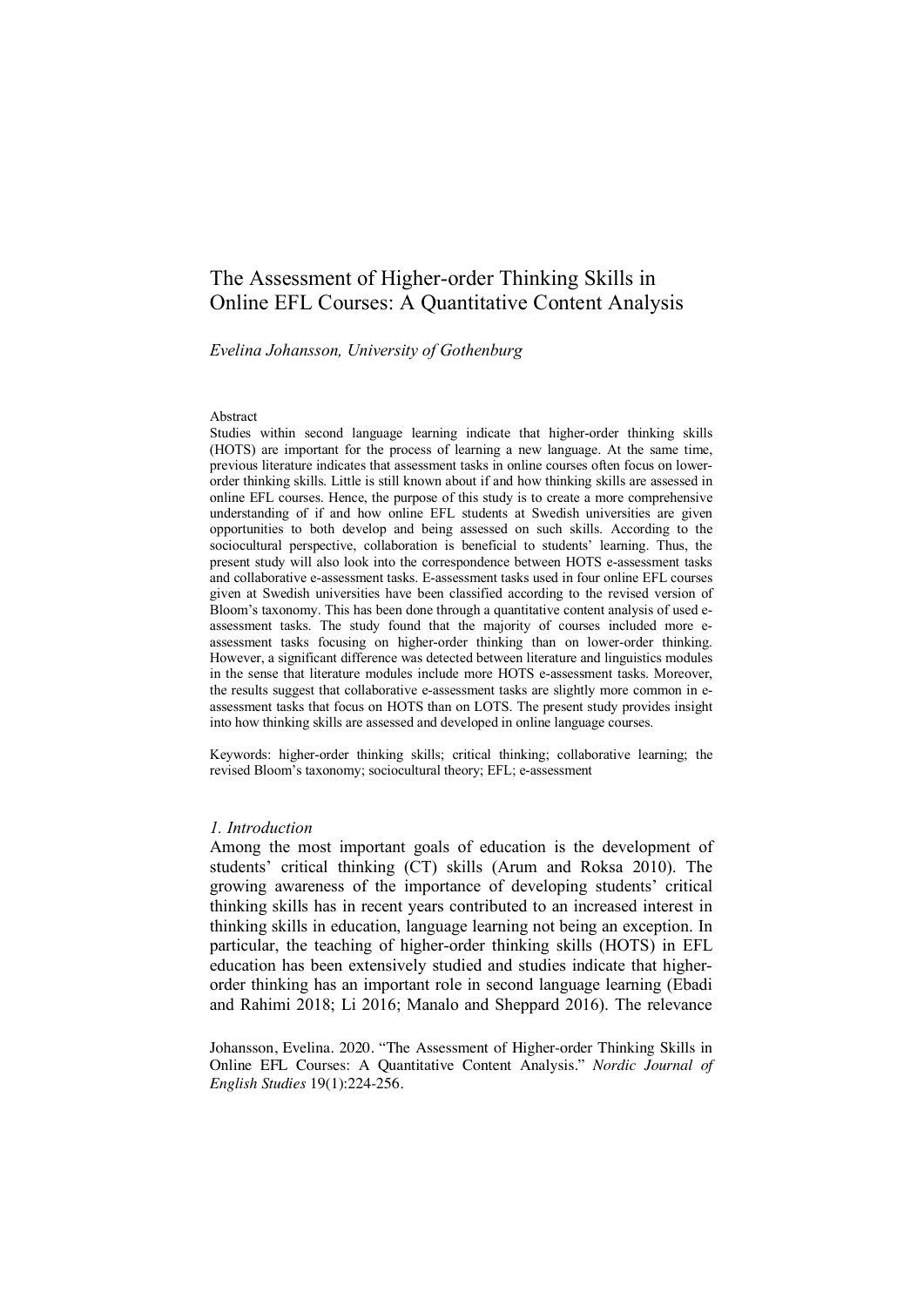# The Assessment of Higher-order Thinking Skills in Online EFL Courses: A Quantitative Content Analysis

*Evelina Johansson, University of Gothenburg*

#### Abstract

Studies within second language learning indicate that higher-order thinking skills (HOTS) are important for the process of learning a new language. At the same time, previous literature indicates that assessment tasks in online courses often focus on lowerorder thinking skills. Little is still known about if and how thinking skills are assessed in online EFL courses. Hence, the purpose of this study is to create a more comprehensive understanding of if and how online EFL students at Swedish universities are given opportunities to both develop and being assessed on such skills. According to the sociocultural perspective, collaboration is beneficial to students' learning. Thus, the present study will also look into the correspondence between HOTS e-assessment tasks and collaborative e-assessment tasks. E-assessment tasks used in four online EFL courses given at Swedish universities have been classified according to the revised version of Bloom's taxonomy. This has been done through a quantitative content analysis of used eassessment tasks. The study found that the majority of courses included more eassessment tasks focusing on higher-order thinking than on lower-order thinking. However, a significant difference was detected between literature and linguistics modules in the sense that literature modules include more HOTS e-assessment tasks. Moreover, the results suggest that collaborative e-assessment tasks are slightly more common in eassessment tasks that focus on HOTS than on LOTS. The present study provides insight into how thinking skills are assessed and developed in online language courses.

Keywords: higher-order thinking skills; critical thinking; collaborative learning; the revised Bloom's taxonomy; sociocultural theory; EFL; e-assessment

#### *1. Introduction*

Among the most important goals of education is the development of students' critical thinking (CT) skills (Arum and Roksa 2010). The growing awareness of the importance of developing students' critical thinking skills has in recent years contributed to an increased interest in thinking skills in education, language learning not being an exception. In particular, the teaching of higher-order thinking skills (HOTS) in EFL education has been extensively studied and studies indicate that higherorder thinking has an important role in second language learning (Ebadi and Rahimi 2018; Li 2016; Manalo and Sheppard 2016). The relevance

Johansson, Evelina. 2020. "The Assessment of Higher-order Thinking Skills in Online EFL Courses: A Quantitative Content Analysis." *Nordic Journal of English Studies* 19(1):224-256.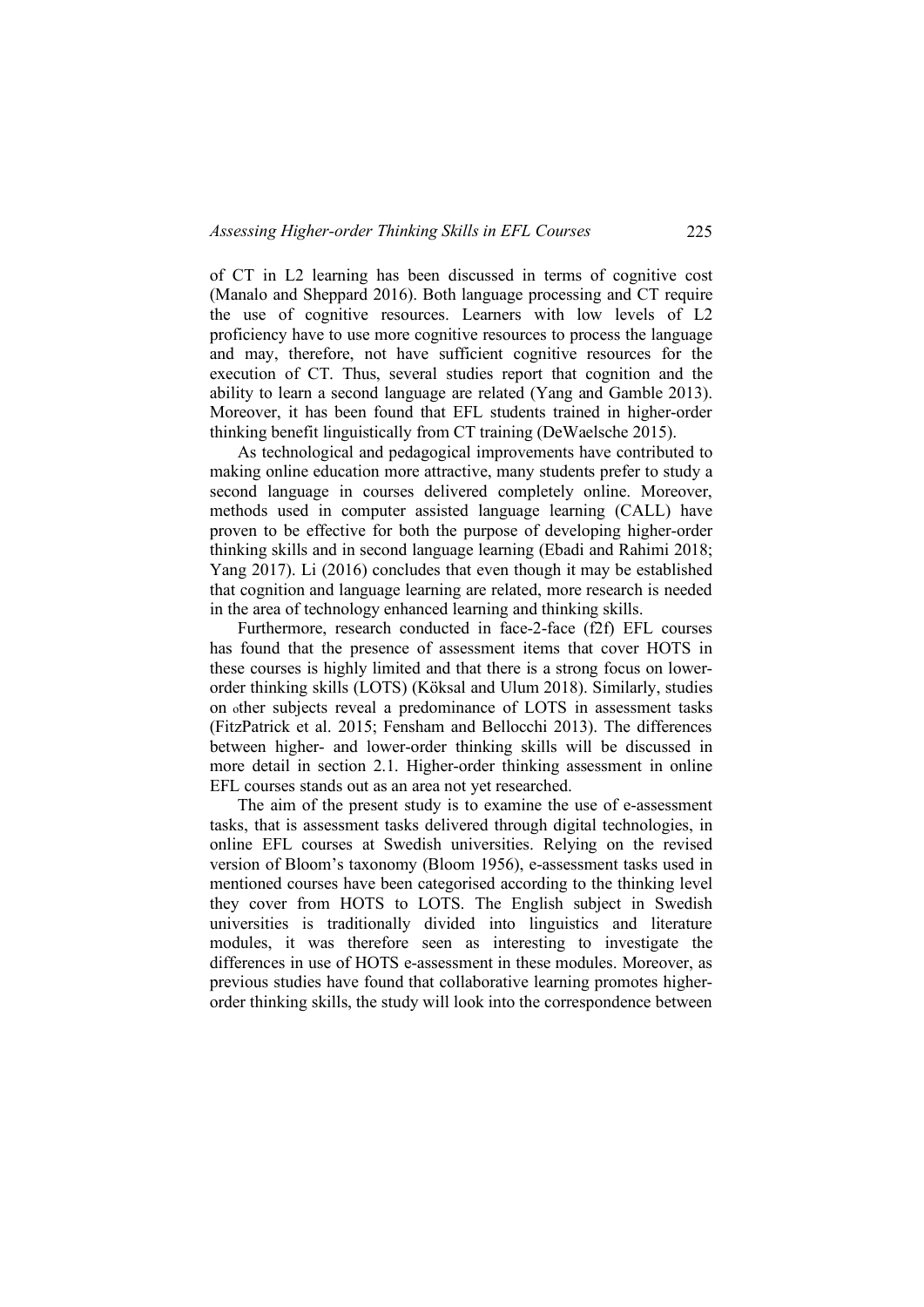of CT in L2 learning has been discussed in terms of cognitive cost (Manalo and Sheppard 2016). Both language processing and CT require the use of cognitive resources. Learners with low levels of L2 proficiency have to use more cognitive resources to process the language and may, therefore, not have sufficient cognitive resources for the execution of CT. Thus, several studies report that cognition and the ability to learn a second language are related (Yang and Gamble 2013). Moreover, it has been found that EFL students trained in higher-order thinking benefit linguistically from CT training (DeWaelsche 2015).

As technological and pedagogical improvements have contributed to making online education more attractive, many students prefer to study a second language in courses delivered completely online. Moreover, methods used in computer assisted language learning (CALL) have proven to be effective for both the purpose of developing higher-order thinking skills and in second language learning (Ebadi and Rahimi 2018; Yang 2017). Li (2016) concludes that even though it may be established that cognition and language learning are related, more research is needed in the area of technology enhanced learning and thinking skills.

Furthermore, research conducted in face-2-face (f2f) EFL courses has found that the presence of assessment items that cover HOTS in these courses is highly limited and that there is a strong focus on lowerorder thinking skills (LOTS) (Köksal and Ulum 2018). Similarly, studies on other subjects reveal a predominance of LOTS in assessment tasks (FitzPatrick et al. 2015; Fensham and Bellocchi 2013). The differences between higher- and lower-order thinking skills will be discussed in more detail in section 2.1. Higher-order thinking assessment in online EFL courses stands out as an area not yet researched.

The aim of the present study is to examine the use of e-assessment tasks, that is assessment tasks delivered through digital technologies, in online EFL courses at Swedish universities. Relying on the revised version of Bloom's taxonomy (Bloom 1956), e-assessment tasks used in mentioned courses have been categorised according to the thinking level they cover from HOTS to LOTS. The English subject in Swedish universities is traditionally divided into linguistics and literature modules, it was therefore seen as interesting to investigate the differences in use of HOTS e-assessment in these modules. Moreover, as previous studies have found that collaborative learning promotes higherorder thinking skills, the study will look into the correspondence between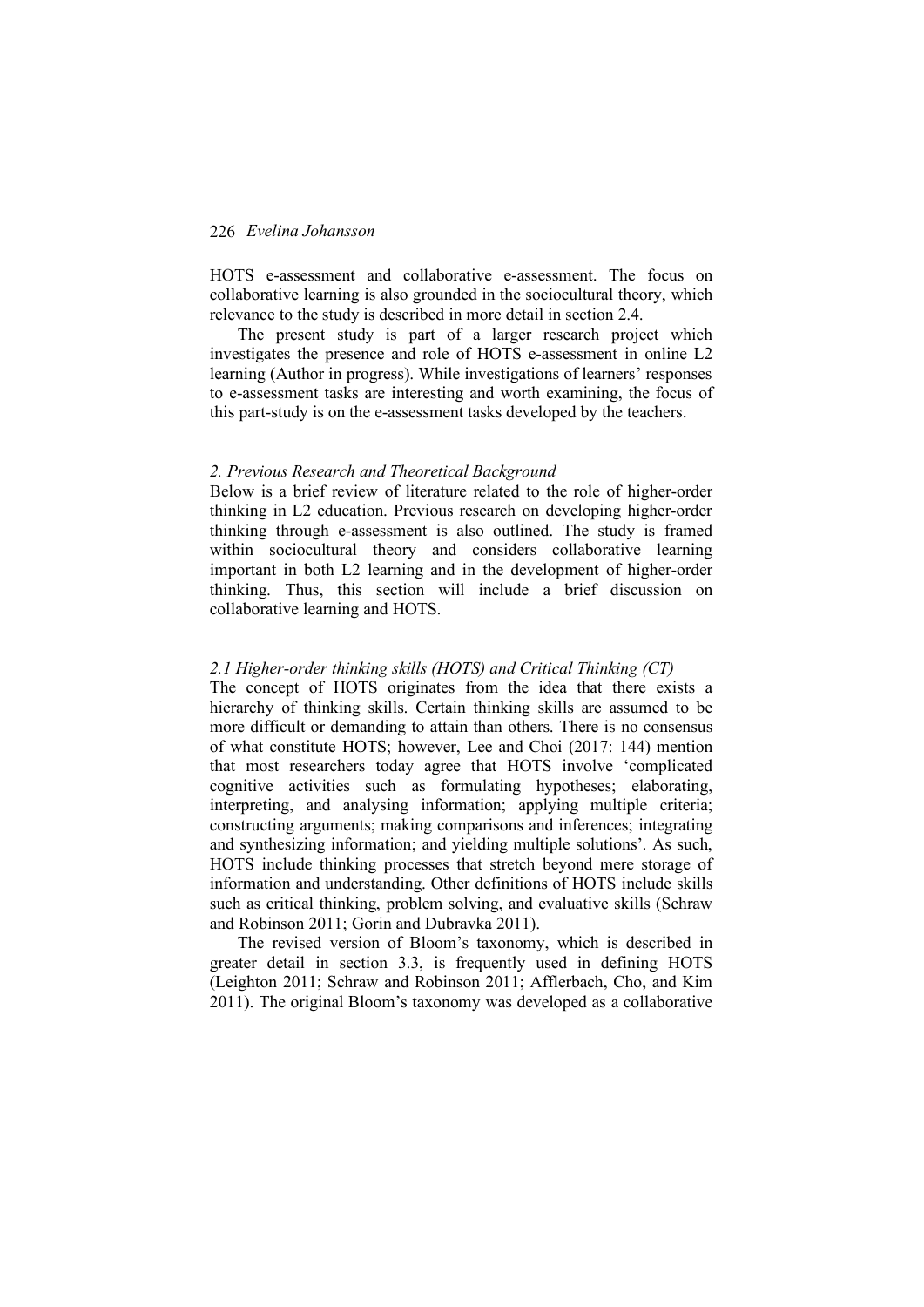HOTS e-assessment and collaborative e-assessment. The focus on collaborative learning is also grounded in the sociocultural theory, which relevance to the study is described in more detail in section 2.4.

The present study is part of a larger research project which investigates the presence and role of HOTS e-assessment in online L2 learning (Author in progress). While investigations of learners' responses to e-assessment tasks are interesting and worth examining, the focus of this part-study is on the e-assessment tasks developed by the teachers.

#### *2. Previous Research and Theoretical Background*

Below is a brief review of literature related to the role of higher-order thinking in L2 education. Previous research on developing higher-order thinking through e-assessment is also outlined. The study is framed within sociocultural theory and considers collaborative learning important in both L2 learning and in the development of higher-order thinking. Thus, this section will include a brief discussion on collaborative learning and HOTS.

#### *2.1 Higher-order thinking skills (HOTS) and Critical Thinking (CT)*

The concept of HOTS originates from the idea that there exists a hierarchy of thinking skills. Certain thinking skills are assumed to be more difficult or demanding to attain than others. There is no consensus of what constitute HOTS; however, Lee and Choi (2017: 144) mention that most researchers today agree that HOTS involve 'complicated cognitive activities such as formulating hypotheses; elaborating, interpreting, and analysing information; applying multiple criteria; constructing arguments; making comparisons and inferences; integrating and synthesizing information; and yielding multiple solutions'. As such, HOTS include thinking processes that stretch beyond mere storage of information and understanding. Other definitions of HOTS include skills such as critical thinking, problem solving, and evaluative skills (Schraw and Robinson 2011; Gorin and Dubravka 2011).

The revised version of Bloom's taxonomy, which is described in greater detail in section 3.3, is frequently used in defining HOTS (Leighton 2011; Schraw and Robinson 2011; Afflerbach, Cho, and Kim 2011). The original Bloom's taxonomy was developed as a collaborative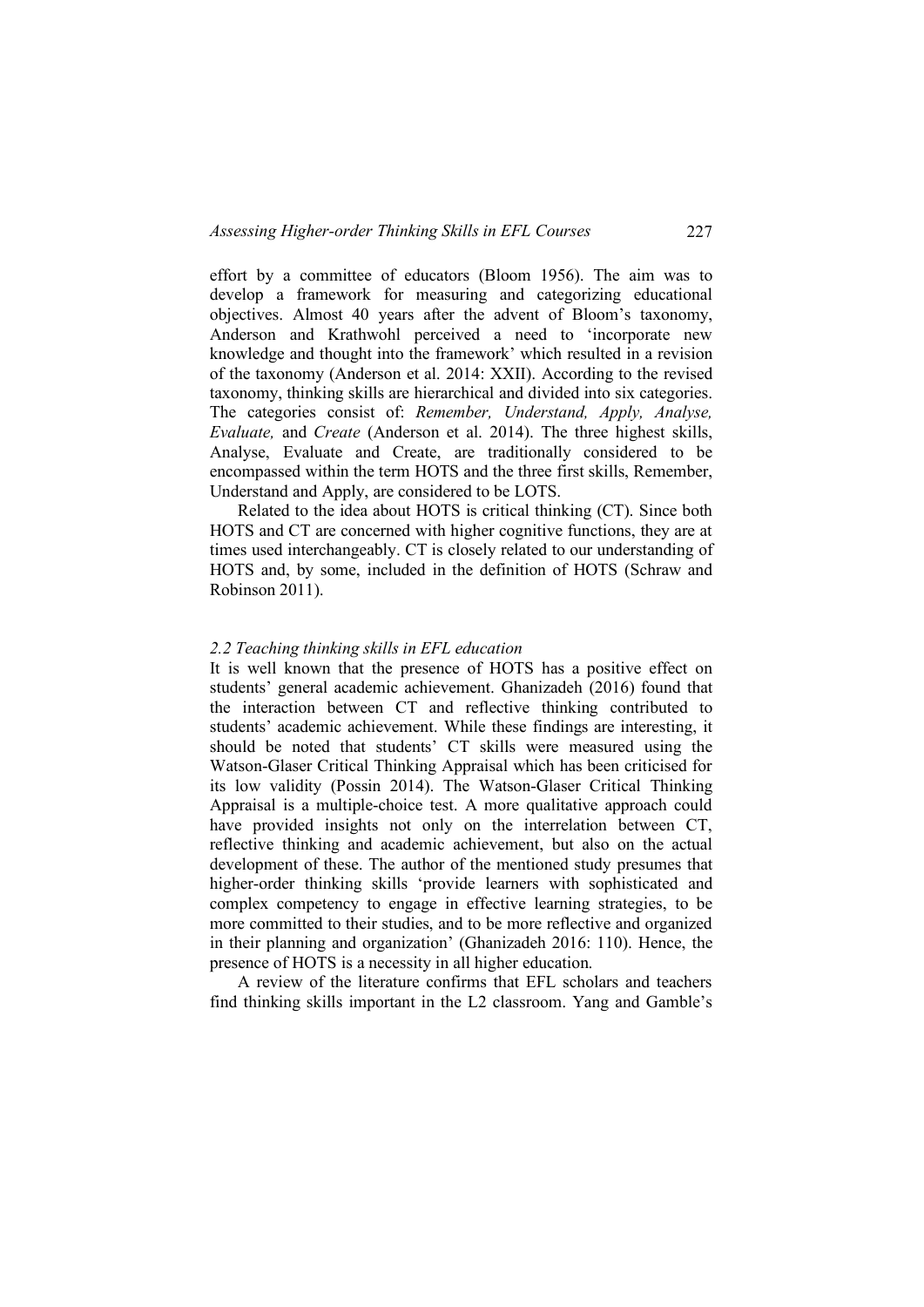effort by a committee of educators (Bloom 1956). The aim was to develop a framework for measuring and categorizing educational objectives. Almost 40 years after the advent of Bloom's taxonomy, Anderson and Krathwohl perceived a need to 'incorporate new knowledge and thought into the framework' which resulted in a revision of the taxonomy (Anderson et al. 2014: XXII). According to the revised taxonomy, thinking skills are hierarchical and divided into six categories. The categories consist of: *Remember, Understand, Apply, Analyse, Evaluate,* and *Create* (Anderson et al. 2014). The three highest skills, Analyse, Evaluate and Create, are traditionally considered to be encompassed within the term HOTS and the three first skills, Remember, Understand and Apply, are considered to be LOTS.

Related to the idea about HOTS is critical thinking (CT). Since both HOTS and CT are concerned with higher cognitive functions, they are at times used interchangeably. CT is closely related to our understanding of HOTS and, by some, included in the definition of HOTS (Schraw and Robinson 2011).

#### *2.2 Teaching thinking skills in EFL education*

It is well known that the presence of HOTS has a positive effect on students' general academic achievement. Ghanizadeh (2016) found that the interaction between CT and reflective thinking contributed to students' academic achievement. While these findings are interesting, it should be noted that students' CT skills were measured using the Watson-Glaser Critical Thinking Appraisal which has been criticised for its low validity (Possin 2014). The Watson-Glaser Critical Thinking Appraisal is a multiple-choice test. A more qualitative approach could have provided insights not only on the interrelation between CT, reflective thinking and academic achievement, but also on the actual development of these. The author of the mentioned study presumes that higher-order thinking skills 'provide learners with sophisticated and complex competency to engage in effective learning strategies, to be more committed to their studies, and to be more reflective and organized in their planning and organization' (Ghanizadeh 2016: 110). Hence, the presence of HOTS is a necessity in all higher education.

A review of the literature confirms that EFL scholars and teachers find thinking skills important in the L2 classroom. Yang and Gamble's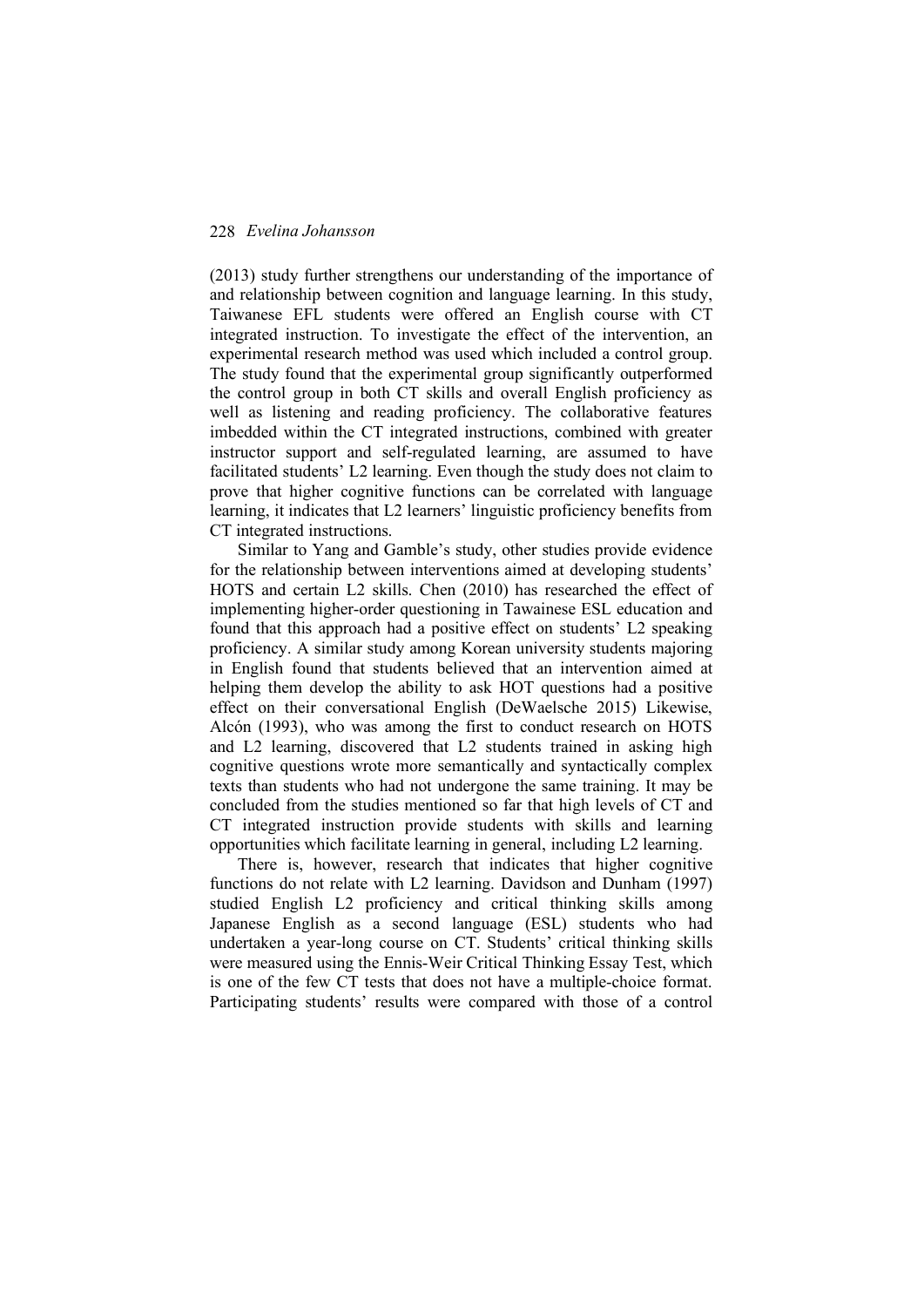(2013) study further strengthens our understanding of the importance of and relationship between cognition and language learning. In this study, Taiwanese EFL students were offered an English course with CT integrated instruction. To investigate the effect of the intervention, an experimental research method was used which included a control group. The study found that the experimental group significantly outperformed the control group in both CT skills and overall English proficiency as well as listening and reading proficiency. The collaborative features imbedded within the CT integrated instructions, combined with greater instructor support and self-regulated learning, are assumed to have facilitated students' L2 learning. Even though the study does not claim to prove that higher cognitive functions can be correlated with language learning, it indicates that L2 learners' linguistic proficiency benefits from CT integrated instructions.

Similar to Yang and Gamble's study, other studies provide evidence for the relationship between interventions aimed at developing students' HOTS and certain L2 skills. Chen (2010) has researched the effect of implementing higher-order questioning in Tawainese ESL education and found that this approach had a positive effect on students' L2 speaking proficiency. A similar study among Korean university students majoring in English found that students believed that an intervention aimed at helping them develop the ability to ask HOT questions had a positive effect on their conversational English (DeWaelsche 2015) Likewise, Alcón (1993), who was among the first to conduct research on HOTS and L2 learning, discovered that L2 students trained in asking high cognitive questions wrote more semantically and syntactically complex texts than students who had not undergone the same training. It may be concluded from the studies mentioned so far that high levels of CT and CT integrated instruction provide students with skills and learning opportunities which facilitate learning in general, including L2 learning.

There is, however, research that indicates that higher cognitive functions do not relate with L2 learning. Davidson and Dunham (1997) studied English L2 proficiency and critical thinking skills among Japanese English as a second language (ESL) students who had undertaken a year-long course on CT. Students' critical thinking skills were measured using the Ennis-Weir Critical Thinking Essay Test, which is one of the few CT tests that does not have a multiple-choice format. Participating students' results were compared with those of a control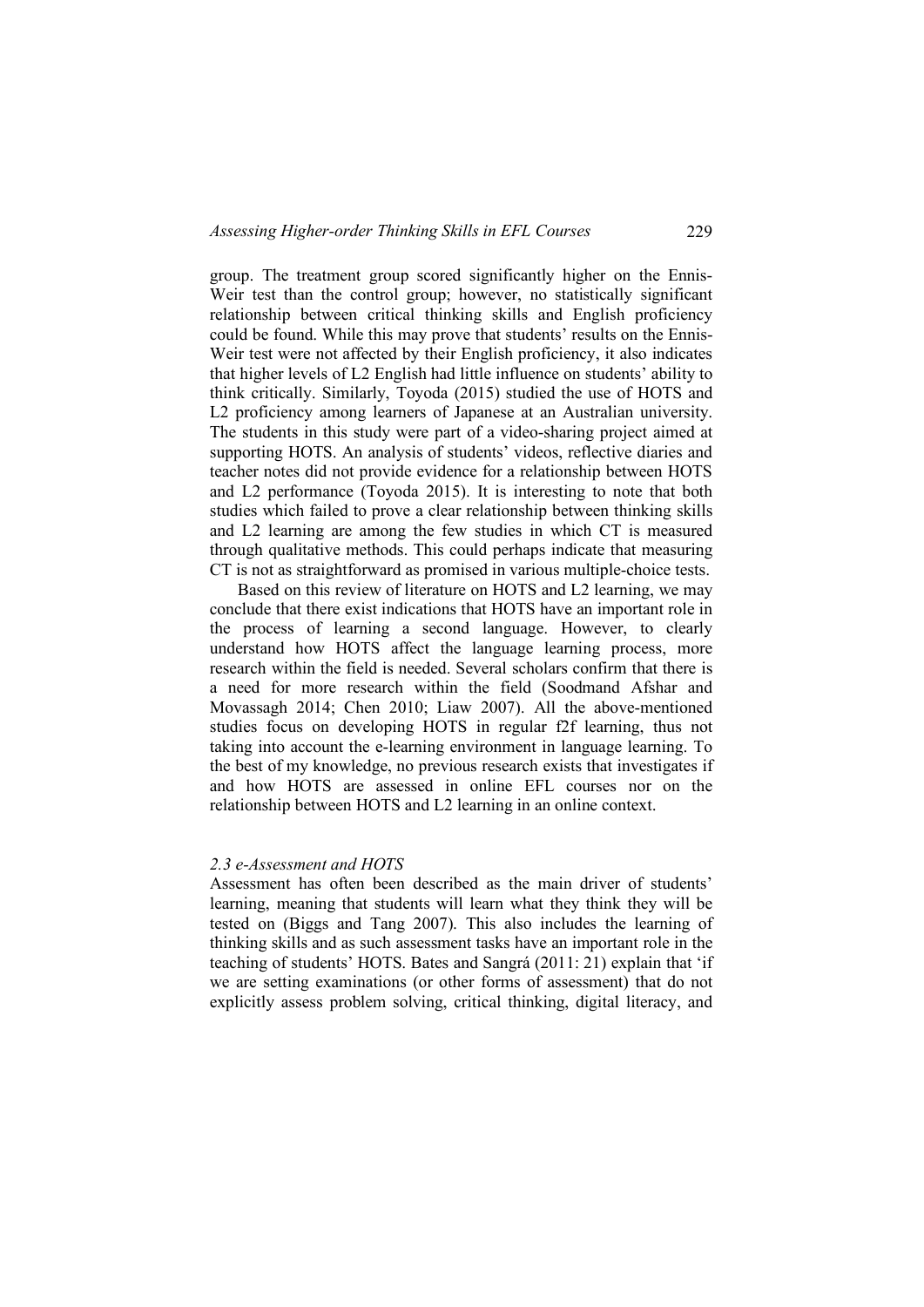group. The treatment group scored significantly higher on the Ennis-Weir test than the control group; however, no statistically significant relationship between critical thinking skills and English proficiency could be found. While this may prove that students' results on the Ennis-Weir test were not affected by their English proficiency, it also indicates that higher levels of L2 English had little influence on students' ability to think critically. Similarly, Toyoda (2015) studied the use of HOTS and L2 proficiency among learners of Japanese at an Australian university. The students in this study were part of a video-sharing project aimed at supporting HOTS. An analysis of students' videos, reflective diaries and teacher notes did not provide evidence for a relationship between HOTS and L2 performance (Toyoda 2015). It is interesting to note that both studies which failed to prove a clear relationship between thinking skills and L2 learning are among the few studies in which CT is measured through qualitative methods. This could perhaps indicate that measuring CT is not as straightforward as promised in various multiple-choice tests.

Based on this review of literature on HOTS and L2 learning, we may conclude that there exist indications that HOTS have an important role in the process of learning a second language. However, to clearly understand how HOTS affect the language learning process, more research within the field is needed. Several scholars confirm that there is a need for more research within the field (Soodmand Afshar and Movassagh 2014; Chen 2010; Liaw 2007). All the above-mentioned studies focus on developing HOTS in regular f2f learning, thus not taking into account the e-learning environment in language learning. To the best of my knowledge, no previous research exists that investigates if and how HOTS are assessed in online EFL courses nor on the relationship between HOTS and L2 learning in an online context.

### *2.3 e-Assessment and HOTS*

Assessment has often been described as the main driver of students' learning, meaning that students will learn what they think they will be tested on (Biggs and Tang 2007). This also includes the learning of thinking skills and as such assessment tasks have an important role in the teaching of students' HOTS. Bates and Sangrá (2011: 21) explain that 'if we are setting examinations (or other forms of assessment) that do not explicitly assess problem solving, critical thinking, digital literacy, and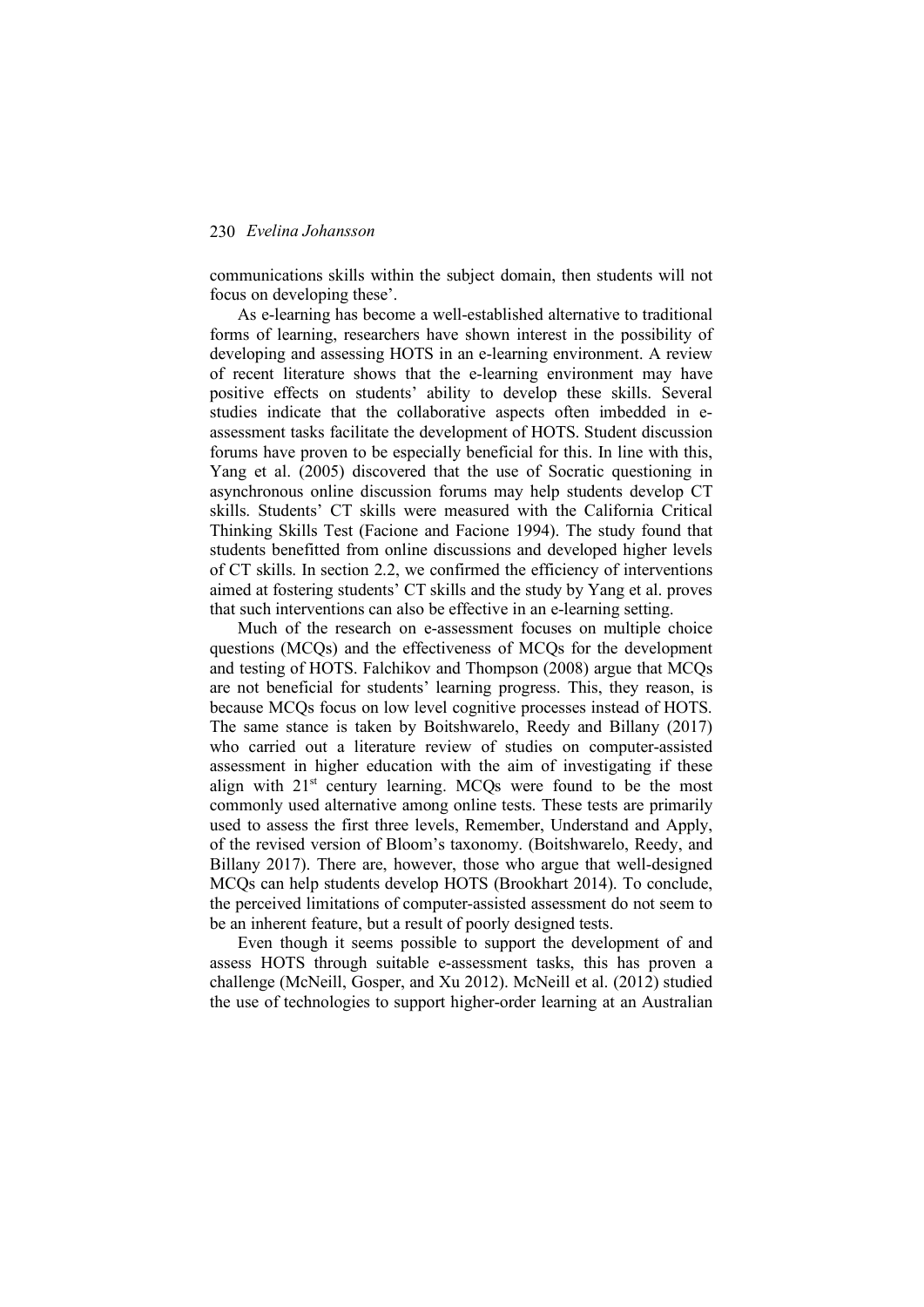communications skills within the subject domain, then students will not focus on developing these'.

As e-learning has become a well-established alternative to traditional forms of learning, researchers have shown interest in the possibility of developing and assessing HOTS in an e-learning environment. A review of recent literature shows that the e-learning environment may have positive effects on students' ability to develop these skills. Several studies indicate that the collaborative aspects often imbedded in eassessment tasks facilitate the development of HOTS. Student discussion forums have proven to be especially beneficial for this. In line with this, Yang et al. (2005) discovered that the use of Socratic questioning in asynchronous online discussion forums may help students develop CT skills. Students' CT skills were measured with the California Critical Thinking Skills Test (Facione and Facione 1994). The study found that students benefitted from online discussions and developed higher levels of CT skills. In section 2.2, we confirmed the efficiency of interventions aimed at fostering students' CT skills and the study by Yang et al. proves that such interventions can also be effective in an e-learning setting.

Much of the research on e-assessment focuses on multiple choice questions (MCQs) and the effectiveness of MCQs for the development and testing of HOTS. Falchikov and Thompson (2008) argue that MCQs are not beneficial for students' learning progress. This, they reason, is because MCQs focus on low level cognitive processes instead of HOTS. The same stance is taken by Boitshwarelo, Reedy and Billany (2017) who carried out a literature review of studies on computer-assisted assessment in higher education with the aim of investigating if these align with  $21<sup>st</sup>$  century learning. MCQs were found to be the most commonly used alternative among online tests. These tests are primarily used to assess the first three levels, Remember, Understand and Apply, of the revised version of Bloom's taxonomy. (Boitshwarelo, Reedy, and Billany 2017). There are, however, those who argue that well-designed MCQs can help students develop HOTS (Brookhart 2014). To conclude, the perceived limitations of computer-assisted assessment do not seem to be an inherent feature, but a result of poorly designed tests.

Even though it seems possible to support the development of and assess HOTS through suitable e-assessment tasks, this has proven a challenge (McNeill, Gosper, and Xu 2012). McNeill et al. (2012) studied the use of technologies to support higher-order learning at an Australian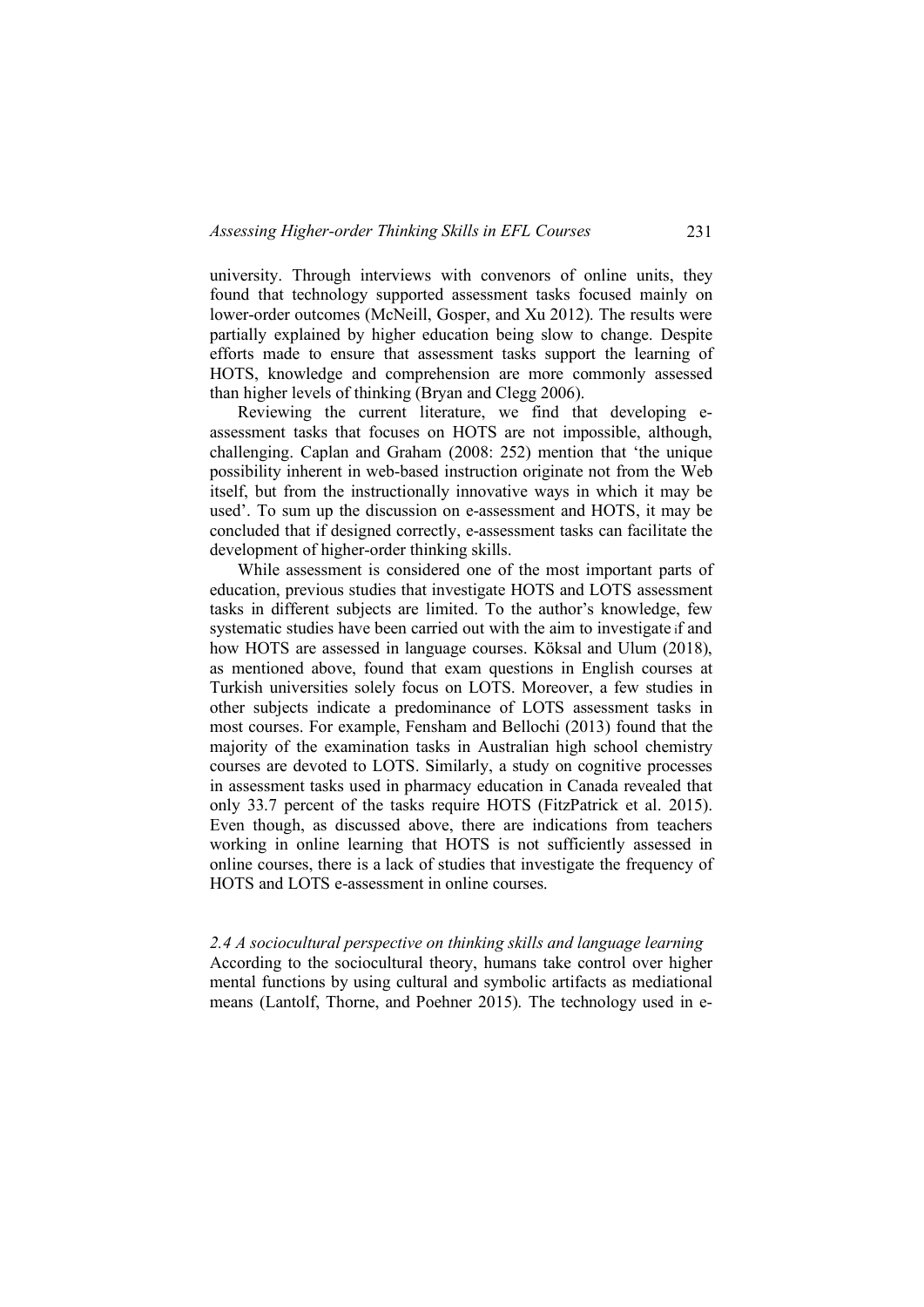university. Through interviews with convenors of online units, they found that technology supported assessment tasks focused mainly on lower-order outcomes (McNeill, Gosper, and Xu 2012). The results were partially explained by higher education being slow to change. Despite efforts made to ensure that assessment tasks support the learning of HOTS, knowledge and comprehension are more commonly assessed than higher levels of thinking (Bryan and Clegg 2006).

Reviewing the current literature, we find that developing eassessment tasks that focuses on HOTS are not impossible, although, challenging. Caplan and Graham (2008: 252) mention that 'the unique possibility inherent in web-based instruction originate not from the Web itself, but from the instructionally innovative ways in which it may be used'. To sum up the discussion on e-assessment and HOTS, it may be concluded that if designed correctly, e-assessment tasks can facilitate the development of higher-order thinking skills.

While assessment is considered one of the most important parts of education, previous studies that investigate HOTS and LOTS assessment tasks in different subjects are limited. To the author's knowledge, few systematic studies have been carried out with the aim to investigate if and how HOTS are assessed in language courses. Köksal and Ulum (2018), as mentioned above, found that exam questions in English courses at Turkish universities solely focus on LOTS. Moreover, a few studies in other subjects indicate a predominance of LOTS assessment tasks in most courses. For example, Fensham and Bellochi (2013) found that the majority of the examination tasks in Australian high school chemistry courses are devoted to LOTS. Similarly, a study on cognitive processes in assessment tasks used in pharmacy education in Canada revealed that only 33.7 percent of the tasks require HOTS (FitzPatrick et al. 2015). Even though, as discussed above, there are indications from teachers working in online learning that HOTS is not sufficiently assessed in online courses, there is a lack of studies that investigate the frequency of HOTS and LOTS e-assessment in online courses.

*2.4 A sociocultural perspective on thinking skills and language learning* According to the sociocultural theory, humans take control over higher mental functions by using cultural and symbolic artifacts as mediational means (Lantolf, Thorne, and Poehner 2015). The technology used in e-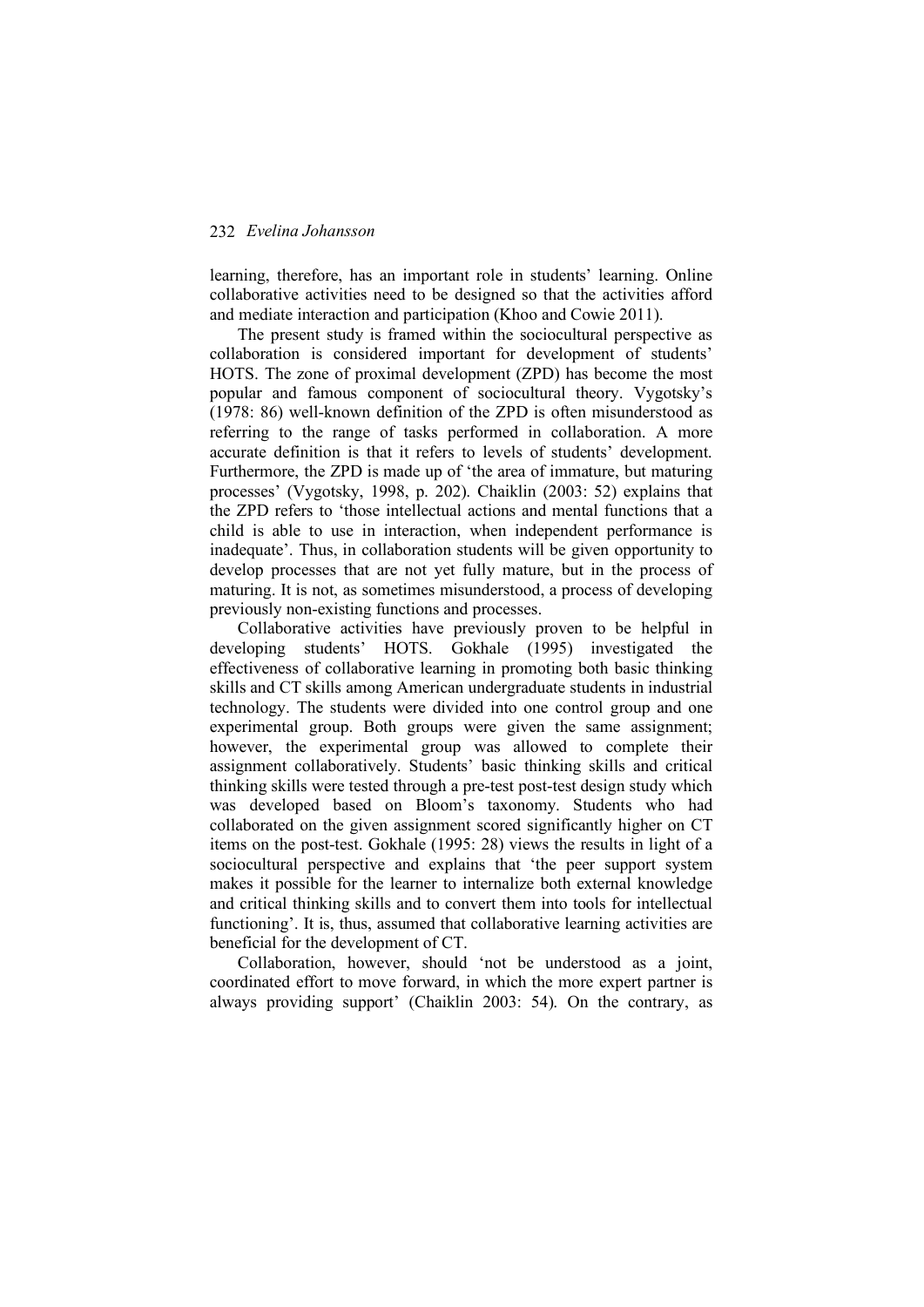learning, therefore, has an important role in students' learning. Online collaborative activities need to be designed so that the activities afford and mediate interaction and participation (Khoo and Cowie 2011).

The present study is framed within the sociocultural perspective as collaboration is considered important for development of students' HOTS. The zone of proximal development (ZPD) has become the most popular and famous component of sociocultural theory. Vygotsky's (1978: 86) well-known definition of the ZPD is often misunderstood as referring to the range of tasks performed in collaboration. A more accurate definition is that it refers to levels of students' development. Furthermore, the ZPD is made up of 'the area of immature, but maturing processes' (Vygotsky, 1998, p. 202). Chaiklin (2003: 52) explains that the ZPD refers to 'those intellectual actions and mental functions that a child is able to use in interaction, when independent performance is inadequate'. Thus, in collaboration students will be given opportunity to develop processes that are not yet fully mature, but in the process of maturing. It is not, as sometimes misunderstood, a process of developing previously non-existing functions and processes.

Collaborative activities have previously proven to be helpful in developing students' HOTS. Gokhale (1995) investigated the effectiveness of collaborative learning in promoting both basic thinking skills and CT skills among American undergraduate students in industrial technology. The students were divided into one control group and one experimental group. Both groups were given the same assignment; however, the experimental group was allowed to complete their assignment collaboratively. Students' basic thinking skills and critical thinking skills were tested through a pre-test post-test design study which was developed based on Bloom's taxonomy. Students who had collaborated on the given assignment scored significantly higher on CT items on the post-test. Gokhale (1995: 28) views the results in light of a sociocultural perspective and explains that 'the peer support system makes it possible for the learner to internalize both external knowledge and critical thinking skills and to convert them into tools for intellectual functioning'. It is, thus, assumed that collaborative learning activities are beneficial for the development of CT.

Collaboration, however, should 'not be understood as a joint, coordinated effort to move forward, in which the more expert partner is always providing support' (Chaiklin 2003: 54). On the contrary, as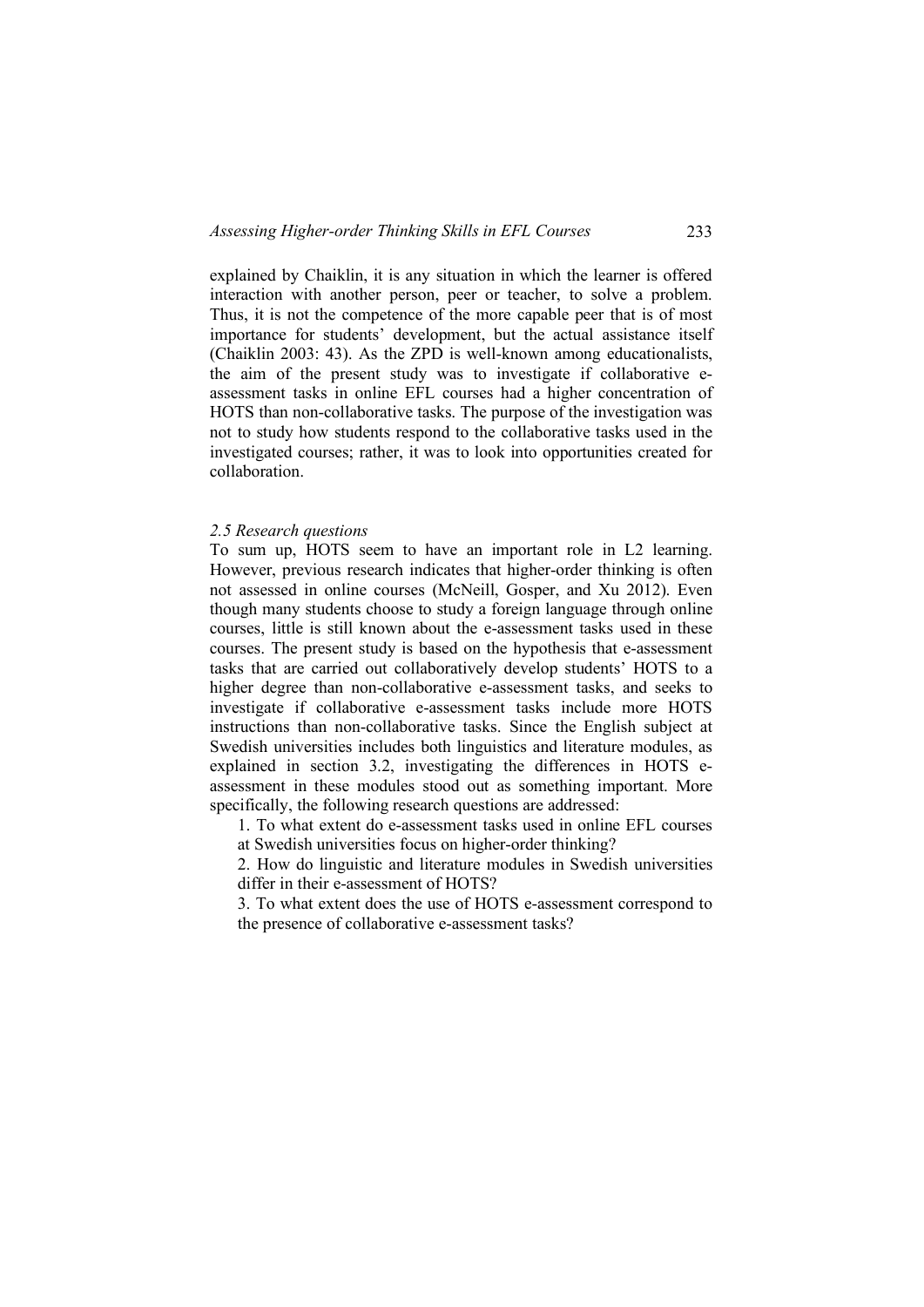explained by Chaiklin, it is any situation in which the learner is offered interaction with another person, peer or teacher, to solve a problem. Thus, it is not the competence of the more capable peer that is of most importance for students' development, but the actual assistance itself (Chaiklin 2003: 43). As the ZPD is well-known among educationalists, the aim of the present study was to investigate if collaborative eassessment tasks in online EFL courses had a higher concentration of HOTS than non-collaborative tasks. The purpose of the investigation was not to study how students respond to the collaborative tasks used in the investigated courses; rather, it was to look into opportunities created for collaboration.

#### *2.5 Research questions*

To sum up, HOTS seem to have an important role in L2 learning. However, previous research indicates that higher-order thinking is often not assessed in online courses (McNeill, Gosper, and Xu 2012). Even though many students choose to study a foreign language through online courses, little is still known about the e-assessment tasks used in these courses. The present study is based on the hypothesis that e-assessment tasks that are carried out collaboratively develop students' HOTS to a higher degree than non-collaborative e-assessment tasks, and seeks to investigate if collaborative e-assessment tasks include more HOTS instructions than non-collaborative tasks. Since the English subject at Swedish universities includes both linguistics and literature modules, as explained in section 3.2, investigating the differences in HOTS eassessment in these modules stood out as something important. More specifically, the following research questions are addressed:

1. To what extent do e-assessment tasks used in online EFL courses at Swedish universities focus on higher-order thinking?

2. How do linguistic and literature modules in Swedish universities differ in their e-assessment of HOTS?

3. To what extent does the use of HOTS e-assessment correspond to the presence of collaborative e-assessment tasks?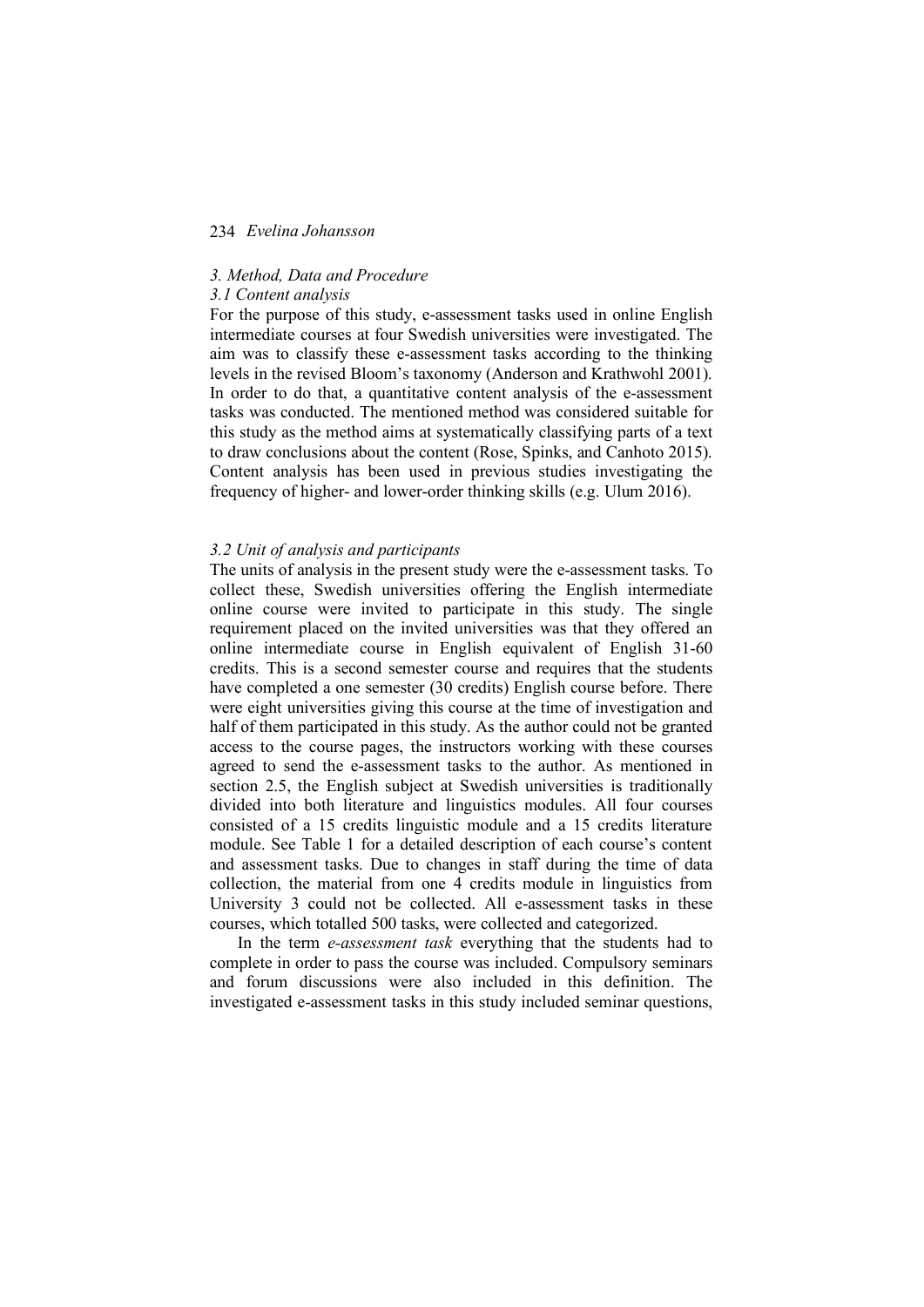### *3. Method, Data and Procedure*

### *3.1 Content analysis*

For the purpose of this study, e-assessment tasks used in online English intermediate courses at four Swedish universities were investigated. The aim was to classify these e-assessment tasks according to the thinking levels in the revised Bloom's taxonomy (Anderson and Krathwohl 2001). In order to do that, a quantitative content analysis of the e-assessment tasks was conducted. The mentioned method was considered suitable for this study as the method aims at systematically classifying parts of a text to draw conclusions about the content (Rose, Spinks, and Canhoto 2015). Content analysis has been used in previous studies investigating the frequency of higher- and lower-order thinking skills (e.g. Ulum 2016).

#### *3.2 Unit of analysis and participants*

The units of analysis in the present study were the e-assessment tasks. To collect these, Swedish universities offering the English intermediate online course were invited to participate in this study. The single requirement placed on the invited universities was that they offered an online intermediate course in English equivalent of English 31-60 credits. This is a second semester course and requires that the students have completed a one semester (30 credits) English course before. There were eight universities giving this course at the time of investigation and half of them participated in this study. As the author could not be granted access to the course pages, the instructors working with these courses agreed to send the e-assessment tasks to the author. As mentioned in section 2.5, the English subject at Swedish universities is traditionally divided into both literature and linguistics modules. All four courses consisted of a 15 credits linguistic module and a 15 credits literature module. See Table 1 for a detailed description of each course's content and assessment tasks. Due to changes in staff during the time of data collection, the material from one 4 credits module in linguistics from University 3 could not be collected. All e-assessment tasks in these courses, which totalled 500 tasks, were collected and categorized.

In the term *e-assessment task* everything that the students had to complete in order to pass the course was included. Compulsory seminars and forum discussions were also included in this definition. The investigated e-assessment tasks in this study included seminar questions,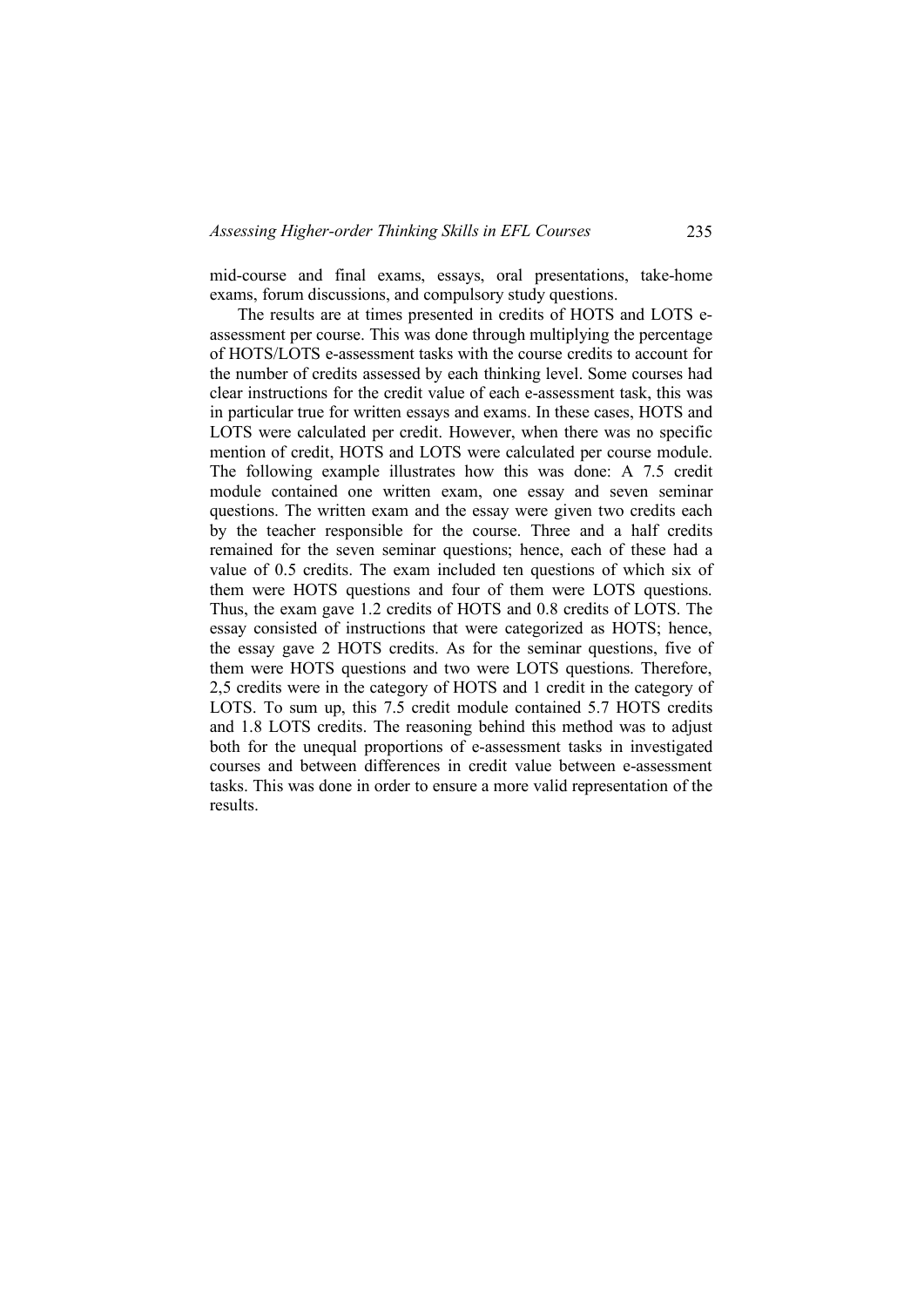mid-course and final exams, essays, oral presentations, take-home exams, forum discussions, and compulsory study questions.

The results are at times presented in credits of HOTS and LOTS eassessment per course. This was done through multiplying the percentage of HOTS/LOTS e-assessment tasks with the course credits to account for the number of credits assessed by each thinking level. Some courses had clear instructions for the credit value of each e-assessment task, this was in particular true for written essays and exams. In these cases, HOTS and LOTS were calculated per credit. However, when there was no specific mention of credit, HOTS and LOTS were calculated per course module. The following example illustrates how this was done: A 7.5 credit module contained one written exam, one essay and seven seminar questions. The written exam and the essay were given two credits each by the teacher responsible for the course. Three and a half credits remained for the seven seminar questions; hence, each of these had a value of 0.5 credits. The exam included ten questions of which six of them were HOTS questions and four of them were LOTS questions. Thus, the exam gave 1.2 credits of HOTS and 0.8 credits of LOTS. The essay consisted of instructions that were categorized as HOTS; hence, the essay gave 2 HOTS credits. As for the seminar questions, five of them were HOTS questions and two were LOTS questions. Therefore, 2,5 credits were in the category of HOTS and 1 credit in the category of LOTS. To sum up, this 7.5 credit module contained 5.7 HOTS credits and 1.8 LOTS credits. The reasoning behind this method was to adjust both for the unequal proportions of e-assessment tasks in investigated courses and between differences in credit value between e-assessment tasks. This was done in order to ensure a more valid representation of the results.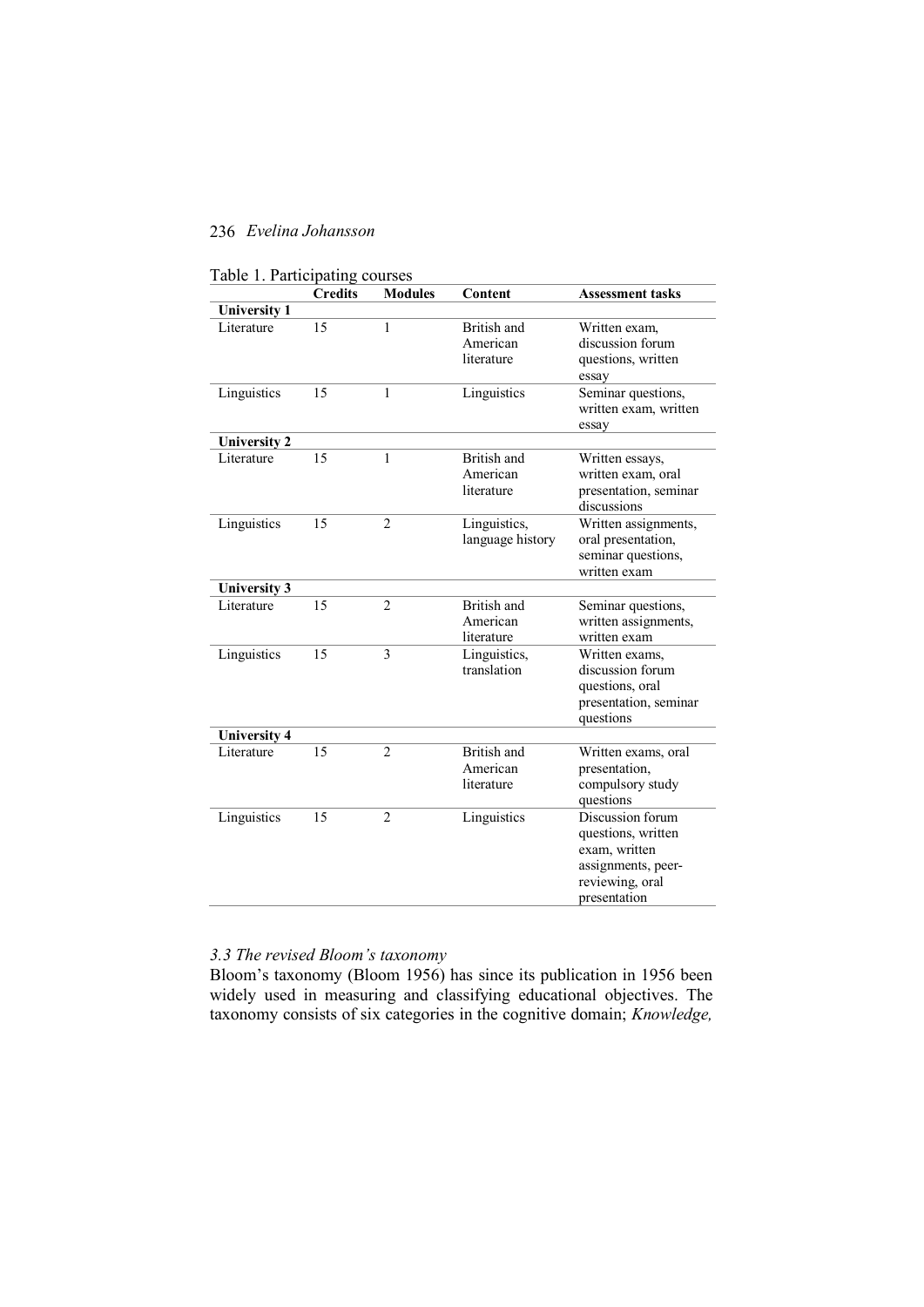|                     | <b>Credits</b> | <b>Modules</b> | Content                                                             | <b>Assessment tasks</b>                                                                                          |  |
|---------------------|----------------|----------------|---------------------------------------------------------------------|------------------------------------------------------------------------------------------------------------------|--|
| <b>University 1</b> |                |                |                                                                     |                                                                                                                  |  |
| Literature          | 15             | 1              | British and<br>American<br>literature                               | Written exam,<br>discussion forum<br>questions, written<br>essay                                                 |  |
| Linguistics         | 15             | $\mathbf{1}$   | Seminar questions,<br>Linguistics<br>written exam, written<br>essay |                                                                                                                  |  |
| <b>University 2</b> |                |                |                                                                     |                                                                                                                  |  |
| Literature          | 15             | $\mathbf{1}$   | British and<br>American<br>literature                               | Written essays,<br>written exam, oral<br>presentation, seminar<br>discussions                                    |  |
| Linguistics         | 15             | $\overline{2}$ | Linguistics,<br>language history                                    | Written assignments,<br>oral presentation,<br>seminar questions,<br>written exam                                 |  |
| <b>University 3</b> |                |                |                                                                     |                                                                                                                  |  |
| Literature          | 15             | $\overline{2}$ | British and<br>American<br>literature                               | Seminar questions,<br>written assignments,<br>written exam                                                       |  |
| Linguistics         | 15             | $\overline{3}$ | Linguistics,<br>translation                                         | Written exams,<br>discussion forum<br>questions, oral<br>presentation, seminar<br>questions                      |  |
| <b>University 4</b> |                |                |                                                                     |                                                                                                                  |  |
| Literature          | 15             | $\overline{2}$ | British and<br>American<br>literature                               | Written exams, oral<br>presentation,<br>compulsory study<br>questions                                            |  |
| Linguistics         | 15             | $\overline{2}$ | Linguistics                                                         | Discussion forum<br>questions, written<br>exam, written<br>assignments, peer-<br>reviewing, oral<br>presentation |  |

## *3.3 The revised Bloom's taxonomy*

Bloom's taxonomy (Bloom 1956) has since its publication in 1956 been widely used in measuring and classifying educational objectives. The taxonomy consists of six categories in the cognitive domain; *Knowledge,*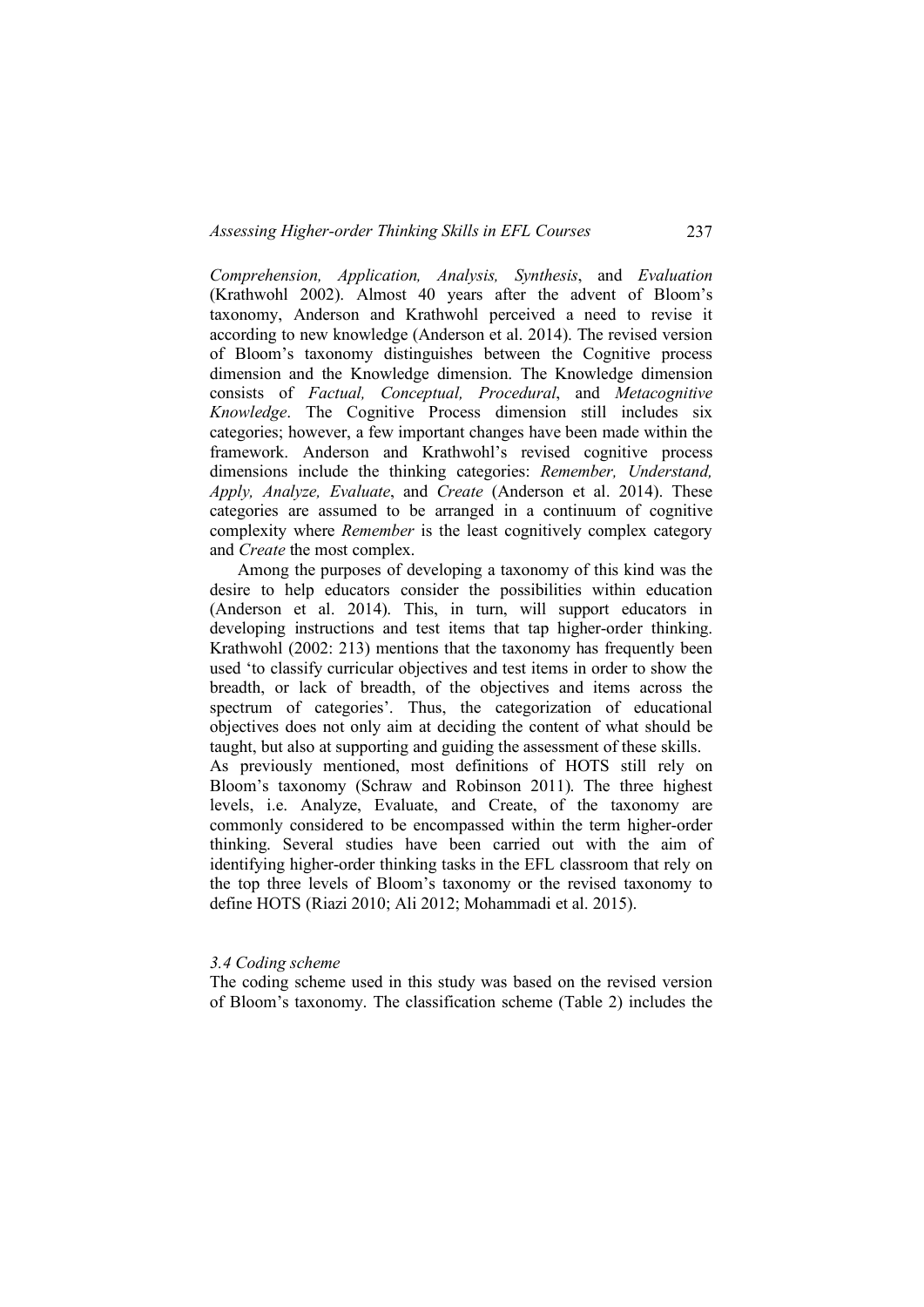*Comprehension, Application, Analysis, Synthesis*, and *Evaluation* (Krathwohl 2002). Almost 40 years after the advent of Bloom's taxonomy, Anderson and Krathwohl perceived a need to revise it according to new knowledge (Anderson et al. 2014). The revised version of Bloom's taxonomy distinguishes between the Cognitive process dimension and the Knowledge dimension. The Knowledge dimension consists of *Factual, Conceptual, Procedural*, and *Metacognitive Knowledge*. The Cognitive Process dimension still includes six categories; however, a few important changes have been made within the framework. Anderson and Krathwohl's revised cognitive process dimensions include the thinking categories: *Remember, Understand, Apply, Analyze, Evaluate*, and *Create* (Anderson et al. 2014). These categories are assumed to be arranged in a continuum of cognitive complexity where *Remember* is the least cognitively complex category and *Create* the most complex.

Among the purposes of developing a taxonomy of this kind was the desire to help educators consider the possibilities within education (Anderson et al. 2014). This, in turn, will support educators in developing instructions and test items that tap higher-order thinking. Krathwohl (2002: 213) mentions that the taxonomy has frequently been used 'to classify curricular objectives and test items in order to show the breadth, or lack of breadth, of the objectives and items across the spectrum of categories'. Thus, the categorization of educational objectives does not only aim at deciding the content of what should be taught, but also at supporting and guiding the assessment of these skills. As previously mentioned, most definitions of HOTS still rely on Bloom's taxonomy (Schraw and Robinson 2011). The three highest levels, i.e. Analyze, Evaluate, and Create, of the taxonomy are commonly considered to be encompassed within the term higher-order thinking. Several studies have been carried out with the aim of identifying higher-order thinking tasks in the EFL classroom that rely on the top three levels of Bloom's taxonomy or the revised taxonomy to define HOTS (Riazi 2010; Ali 2012; Mohammadi et al. 2015).

### *3.4 Coding scheme*

The coding scheme used in this study was based on the revised version of Bloom's taxonomy. The classification scheme (Table 2) includes the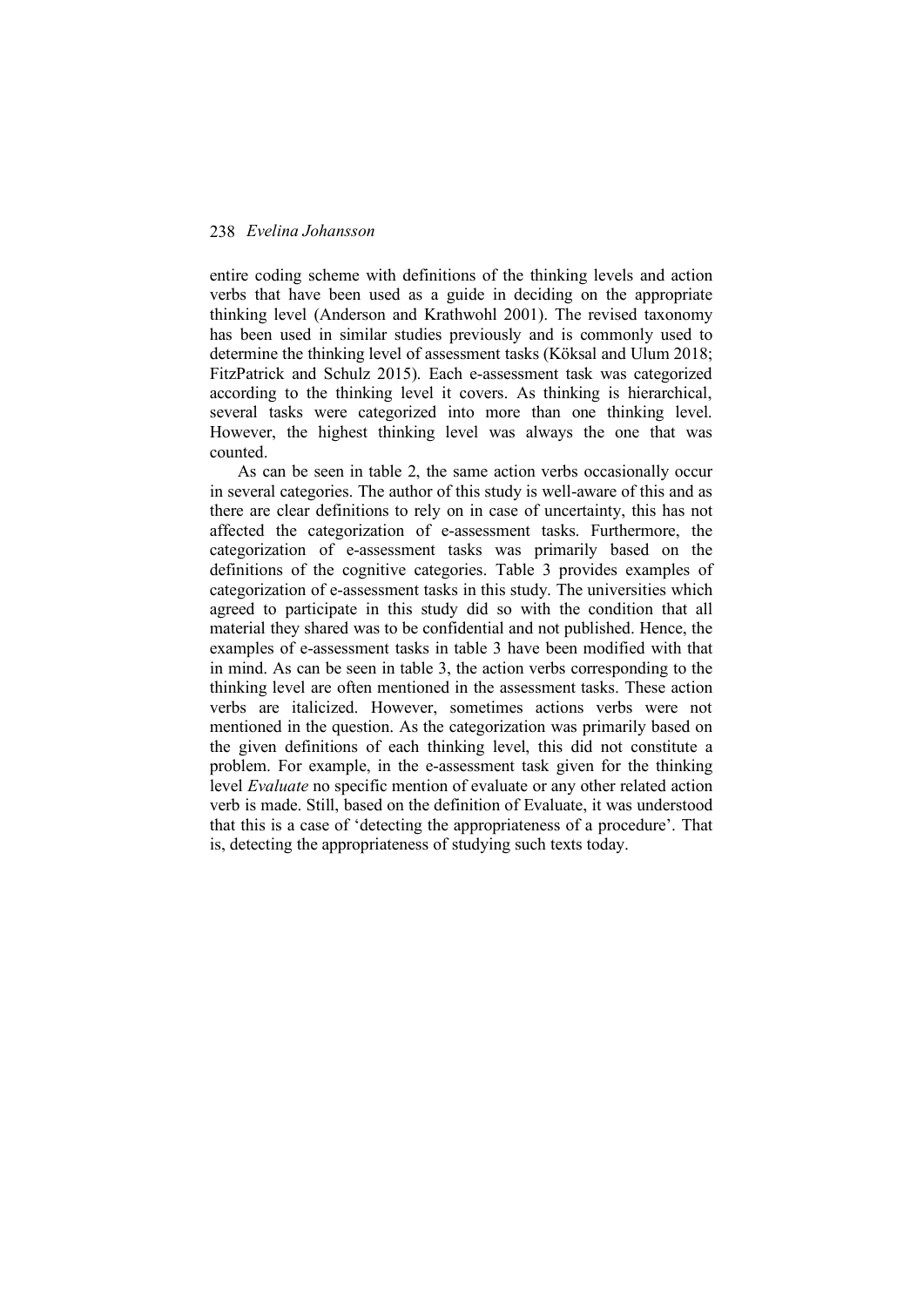entire coding scheme with definitions of the thinking levels and action verbs that have been used as a guide in deciding on the appropriate thinking level (Anderson and Krathwohl 2001). The revised taxonomy has been used in similar studies previously and is commonly used to determine the thinking level of assessment tasks (Köksal and Ulum 2018; FitzPatrick and Schulz 2015). Each e-assessment task was categorized according to the thinking level it covers. As thinking is hierarchical, several tasks were categorized into more than one thinking level. However, the highest thinking level was always the one that was counted.

As can be seen in table 2, the same action verbs occasionally occur in several categories. The author of this study is well-aware of this and as there are clear definitions to rely on in case of uncertainty, this has not affected the categorization of e-assessment tasks. Furthermore, the categorization of e-assessment tasks was primarily based on the definitions of the cognitive categories. Table 3 provides examples of categorization of e-assessment tasks in this study. The universities which agreed to participate in this study did so with the condition that all material they shared was to be confidential and not published. Hence, the examples of e-assessment tasks in table 3 have been modified with that in mind. As can be seen in table 3, the action verbs corresponding to the thinking level are often mentioned in the assessment tasks. These action verbs are italicized. However, sometimes actions verbs were not mentioned in the question. As the categorization was primarily based on the given definitions of each thinking level, this did not constitute a problem. For example, in the e-assessment task given for the thinking level *Evaluate* no specific mention of evaluate or any other related action verb is made. Still, based on the definition of Evaluate, it was understood that this is a case of 'detecting the appropriateness of a procedure'. That is, detecting the appropriateness of studying such texts today.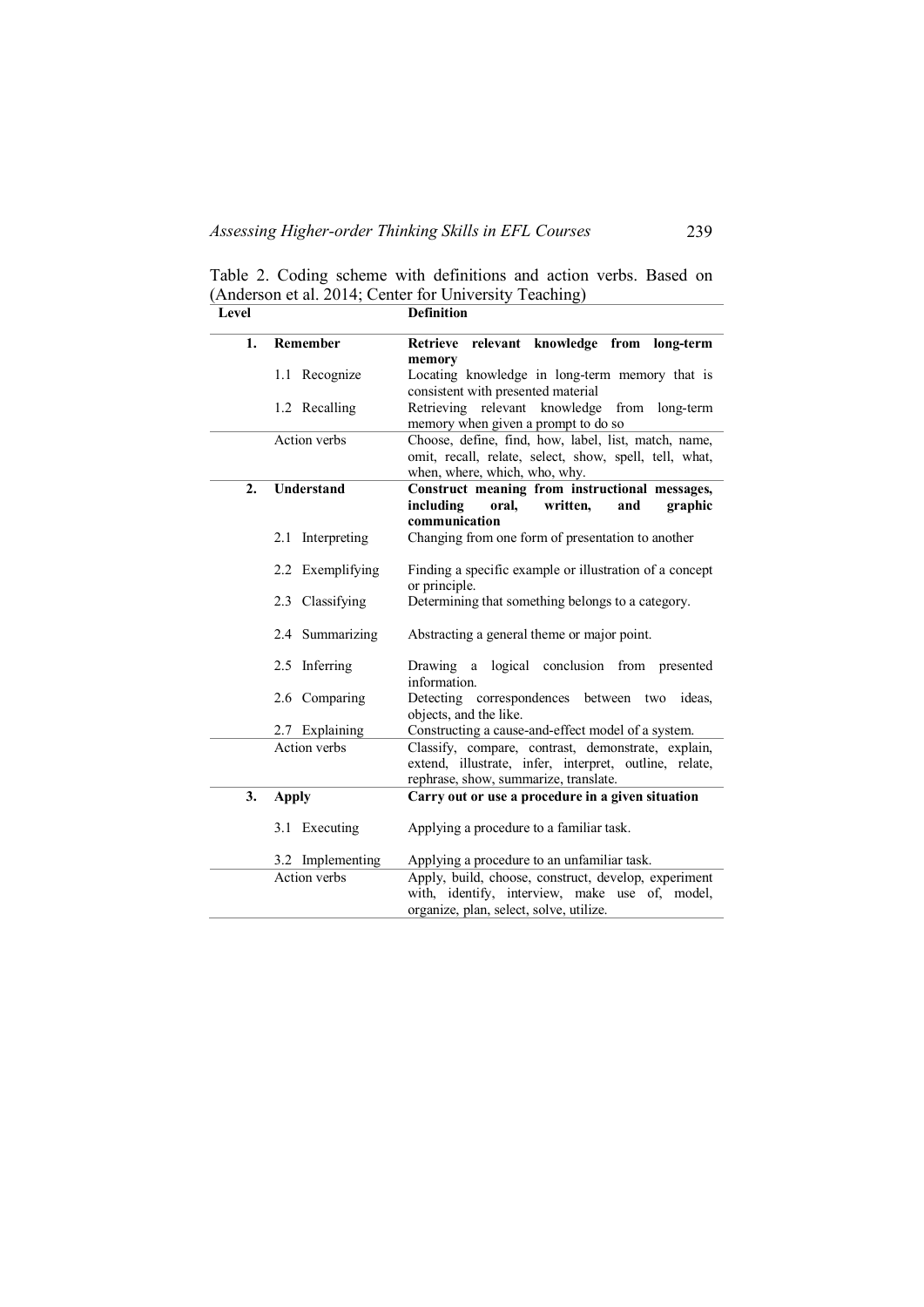| Level               |                   | <b>Definition</b>                                                                                                                                     |  |  |
|---------------------|-------------------|-------------------------------------------------------------------------------------------------------------------------------------------------------|--|--|
| 1.                  | Remember          | Retrieve relevant knowledge from<br>long-term<br>memory                                                                                               |  |  |
|                     | 1.1 Recognize     | Locating knowledge in long-term memory that is<br>consistent with presented material                                                                  |  |  |
|                     | 1.2 Recalling     | Retrieving relevant knowledge from<br>long-term<br>memory when given a prompt to do so                                                                |  |  |
|                     | Action verbs      | Choose, define, find, how, label, list, match, name,<br>omit, recall, relate, select, show, spell, tell, what,<br>when, where, which, who, why.       |  |  |
| 2.                  | <b>Understand</b> | Construct meaning from instructional messages,                                                                                                        |  |  |
|                     |                   | including<br>oral,<br>written,<br>graphic<br>and<br>communication                                                                                     |  |  |
|                     | 2.1 Interpreting  | Changing from one form of presentation to another                                                                                                     |  |  |
|                     | 2.2 Exemplifying  | Finding a specific example or illustration of a concept<br>or principle.                                                                              |  |  |
|                     | 2.3 Classifying   | Determining that something belongs to a category.                                                                                                     |  |  |
|                     | 2.4 Summarizing   | Abstracting a general theme or major point.                                                                                                           |  |  |
|                     | 2.5 Inferring     | logical conclusion from presented<br>Drawing<br>a<br>information.                                                                                     |  |  |
|                     | 2.6 Comparing     | Detecting correspondences between two ideas,<br>objects, and the like.                                                                                |  |  |
|                     | 2.7 Explaining    | Constructing a cause-and-effect model of a system.                                                                                                    |  |  |
| <b>Action</b> verbs |                   | Classify, compare, contrast, demonstrate, explain,<br>extend, illustrate, infer, interpret, outline, relate,<br>rephrase, show, summarize, translate. |  |  |
| 3.                  | <b>Apply</b>      | Carry out or use a procedure in a given situation                                                                                                     |  |  |
|                     | 3.1 Executing     | Applying a procedure to a familiar task.                                                                                                              |  |  |
|                     | 3.2 Implementing  | Applying a procedure to an unfamiliar task.                                                                                                           |  |  |
|                     | Action verbs      | Apply, build, choose, construct, develop, experiment<br>with, identify, interview, make use of, model,<br>organize, plan, select, solve, utilize.     |  |  |

Table 2. Coding scheme with definitions and action verbs. Based on (Anderson et al. 2014; Center for University Teaching)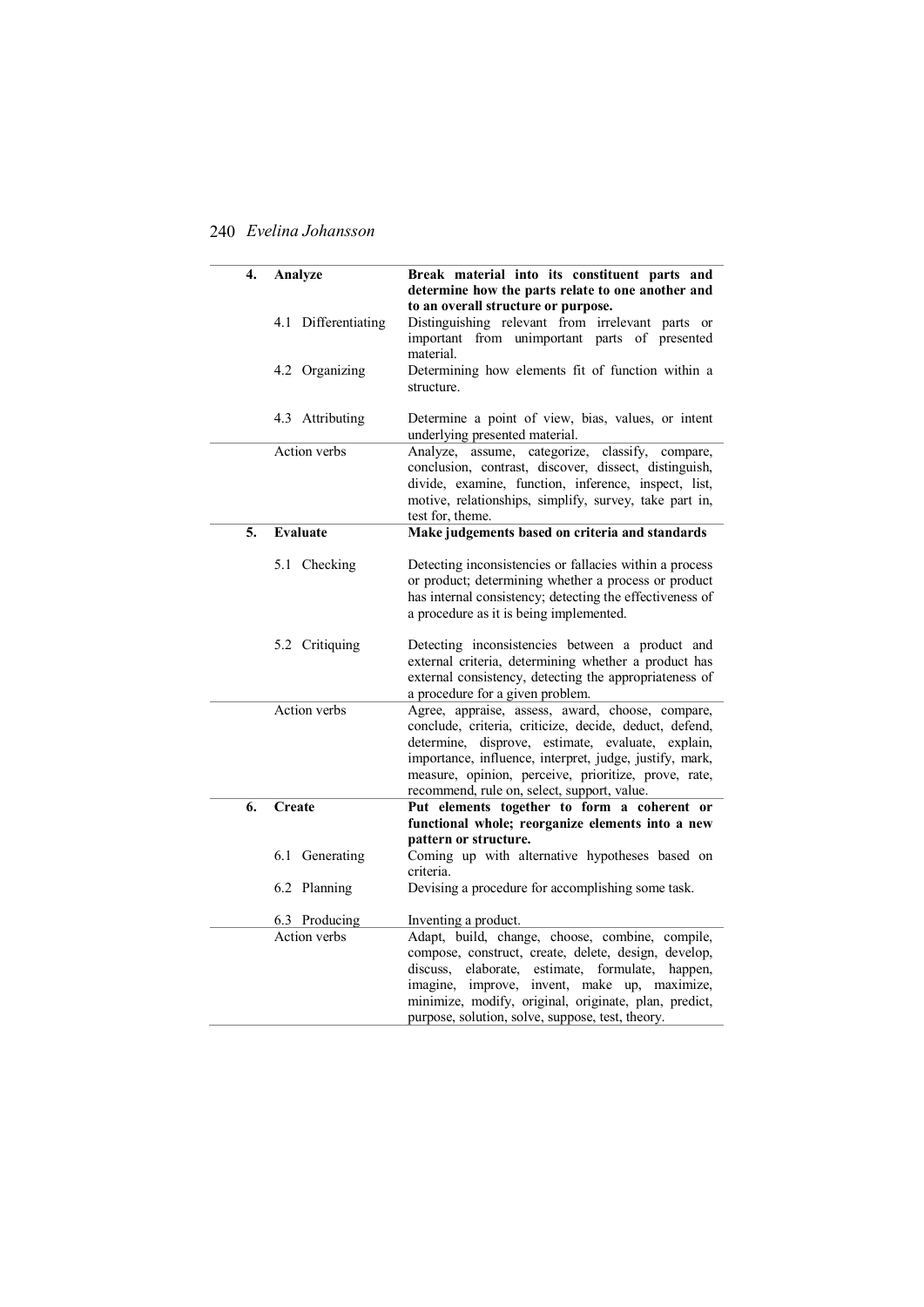| 4.<br>Analyze |    |                     | Break material into its constituent parts and                                                                   |  |  |
|---------------|----|---------------------|-----------------------------------------------------------------------------------------------------------------|--|--|
|               |    |                     | determine how the parts relate to one another and                                                               |  |  |
|               |    |                     | to an overall structure or purpose.                                                                             |  |  |
|               |    | 4.1 Differentiating | Distinguishing relevant from irrelevant parts or                                                                |  |  |
|               |    |                     | important from unimportant parts of presented                                                                   |  |  |
|               |    |                     | material.                                                                                                       |  |  |
|               |    | 4.2 Organizing      | Determining how elements fit of function within a                                                               |  |  |
|               |    |                     | structure.                                                                                                      |  |  |
|               |    | 4.3 Attributing     | Determine a point of view, bias, values, or intent                                                              |  |  |
|               |    |                     | underlying presented material.                                                                                  |  |  |
|               |    | <b>Action</b> verbs | Analyze, assume, categorize, classify,<br>compare,                                                              |  |  |
|               |    |                     | conclusion, contrast, discover, dissect, distinguish,                                                           |  |  |
|               |    |                     | divide, examine, function, inference, inspect, list,                                                            |  |  |
|               |    |                     | motive, relationships, simplify, survey, take part in,                                                          |  |  |
|               |    |                     | test for, theme.                                                                                                |  |  |
|               | 5. | <b>Evaluate</b>     | Make judgements based on criteria and standards                                                                 |  |  |
|               |    |                     |                                                                                                                 |  |  |
|               |    | 5.1 Checking        | Detecting inconsistencies or fallacies within a process<br>or product; determining whether a process or product |  |  |
|               |    |                     | has internal consistency; detecting the effectiveness of                                                        |  |  |
|               |    |                     | a procedure as it is being implemented.                                                                         |  |  |
|               |    |                     |                                                                                                                 |  |  |
|               |    | 5.2 Critiquing      | Detecting inconsistencies between a product and                                                                 |  |  |
|               |    |                     | external criteria, determining whether a product has                                                            |  |  |
|               |    |                     | external consistency, detecting the appropriateness of                                                          |  |  |
|               |    |                     | a procedure for a given problem.                                                                                |  |  |
|               |    | Action verbs        | Agree, appraise, assess, award, choose, compare,                                                                |  |  |
|               |    |                     | conclude, criteria, criticize, decide, deduct, defend,                                                          |  |  |
|               |    |                     | determine, disprove, estimate, evaluate, explain,                                                               |  |  |
|               |    |                     | importance, influence, interpret, judge, justify, mark,                                                         |  |  |
|               |    |                     | measure, opinion, perceive, prioritize, prove, rate,                                                            |  |  |
|               | 6. | Create              | recommend, rule on, select, support, value.<br>Put elements together to form a coherent or                      |  |  |
|               |    |                     | functional whole; reorganize elements into a new                                                                |  |  |
|               |    |                     | pattern or structure.                                                                                           |  |  |
|               |    | 6.1 Generating      | Coming up with alternative hypotheses based on                                                                  |  |  |
|               |    |                     | criteria.                                                                                                       |  |  |
|               |    | 6.2 Planning        | Devising a procedure for accomplishing some task.                                                               |  |  |
|               |    |                     |                                                                                                                 |  |  |
|               |    | 6.3 Producing       | Inventing a product.                                                                                            |  |  |
|               |    | <b>Action</b> verbs | Adapt, build, change, choose, combine, compile,                                                                 |  |  |
|               |    |                     | compose, construct, create, delete, design, develop,                                                            |  |  |
|               |    |                     | discuss.<br>elaborate,<br>estimate.<br>formulate.<br>happen.                                                    |  |  |
|               |    |                     | imagine, improve, invent, make up, maximize,                                                                    |  |  |
|               |    |                     | minimize, modify, original, originate, plan, predict,                                                           |  |  |
|               |    |                     | purpose, solution, solve, suppose, test, theory.                                                                |  |  |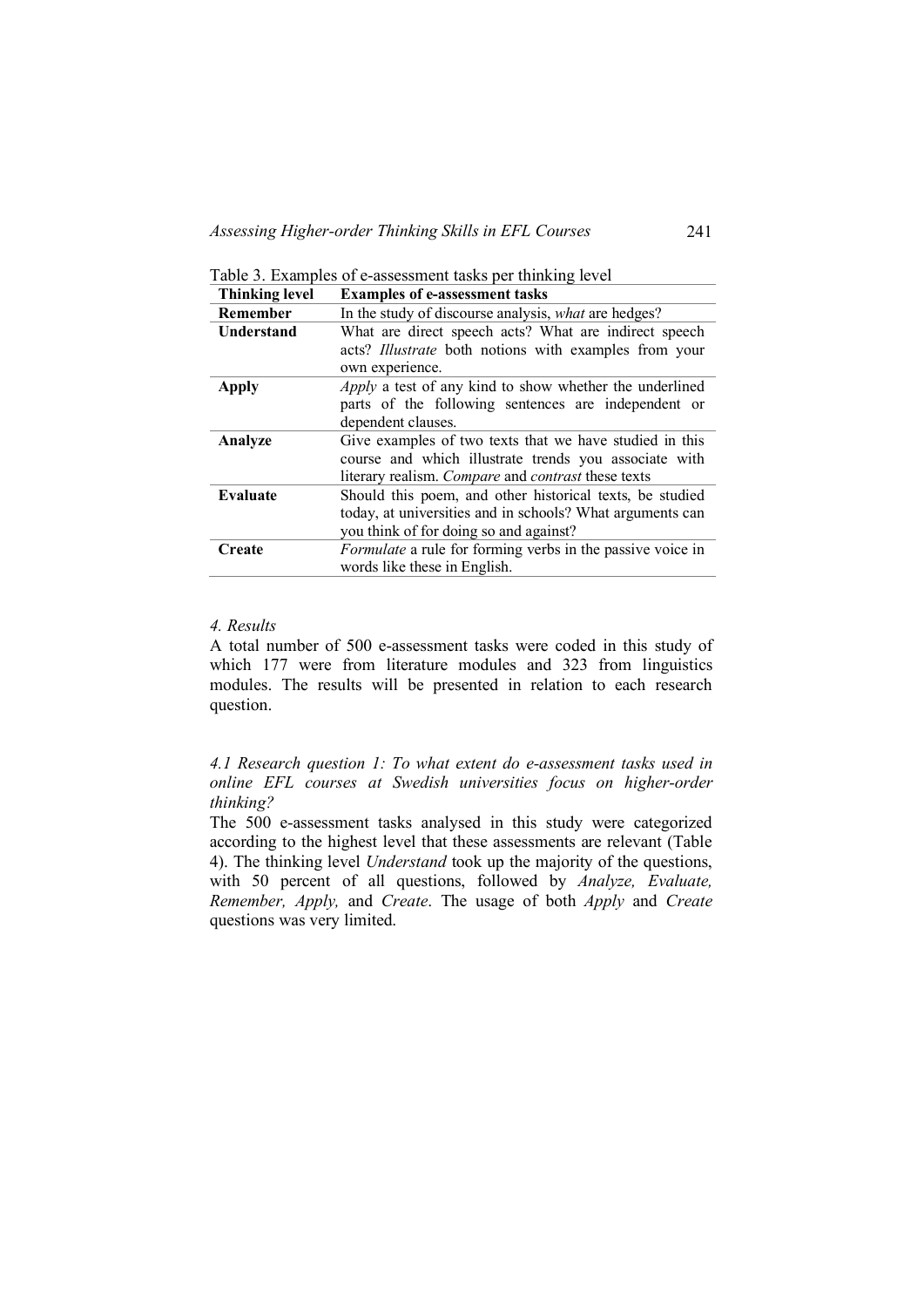Table 3. Examples of e-assessment tasks per thinking level

| <b>Thinking level</b> | <b>Examples of e-assessment tasks</b>                          |  |  |
|-----------------------|----------------------------------------------------------------|--|--|
| <b>Remember</b>       | In the study of discourse analysis, what are hedges?           |  |  |
| Understand            | What are direct speech acts? What are indirect speech          |  |  |
|                       | acts? Illustrate both notions with examples from your          |  |  |
|                       | own experience.                                                |  |  |
| <b>Apply</b>          | <i>Apply</i> a test of any kind to show whether the underlined |  |  |
|                       | parts of the following sentences are independent or            |  |  |
|                       | dependent clauses.                                             |  |  |
| Analyze               | Give examples of two texts that we have studied in this        |  |  |
|                       | course and which illustrate trends you associate with          |  |  |
|                       | literary realism. Compare and contrast these texts             |  |  |
| Evaluate              | Should this poem, and other historical texts, be studied       |  |  |
|                       | today, at universities and in schools? What arguments can      |  |  |
|                       | you think of for doing so and against?                         |  |  |
| Create                | Formulate a rule for forming verbs in the passive voice in     |  |  |
|                       | words like these in English.                                   |  |  |

### *4. Results*

A total number of 500 e-assessment tasks were coded in this study of which 177 were from literature modules and 323 from linguistics modules. The results will be presented in relation to each research question.

*4.1 Research question 1: To what extent do e-assessment tasks used in online EFL courses at Swedish universities focus on higher-order thinking?* 

The 500 e-assessment tasks analysed in this study were categorized according to the highest level that these assessments are relevant (Table 4). The thinking level *Understand* took up the majority of the questions, with 50 percent of all questions, followed by *Analyze, Evaluate, Remember, Apply,* and *Create*. The usage of both *Apply* and *Create*  questions was very limited.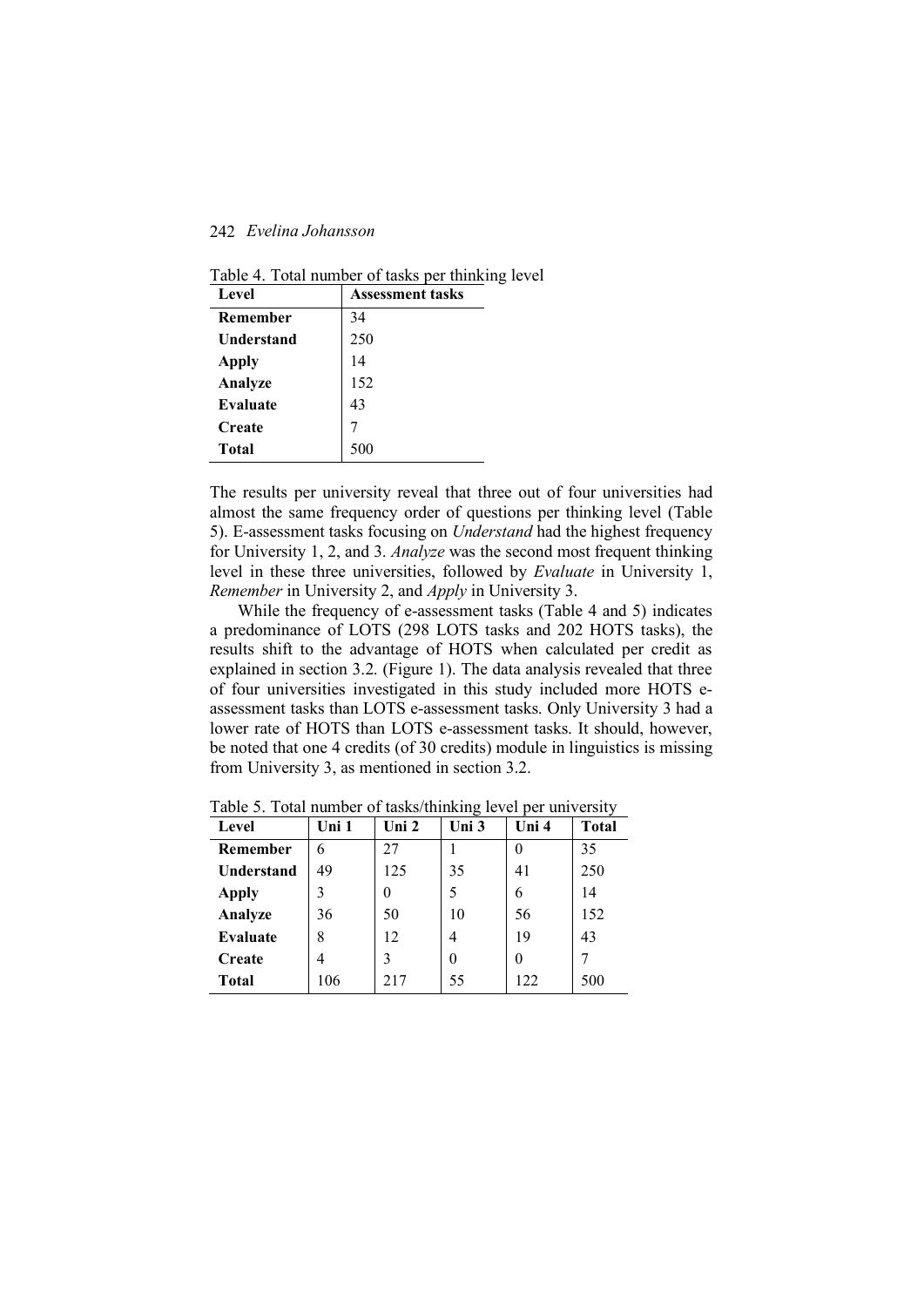| Level           | <b>Assessment tasks</b> |
|-----------------|-------------------------|
| <b>Remember</b> | 34                      |
| Understand      | 250                     |
| <b>Apply</b>    | 14                      |
| Analyze         | 152                     |
| Evaluate        | 43                      |
| <b>Create</b>   |                         |
| Total           | 500                     |

Table 4. Total number of tasks per thinking level

The results per university reveal that three out of four universities had almost the same frequency order of questions per thinking level (Table 5). E-assessment tasks focusing on *Understand* had the highest frequency for University 1, 2, and 3. *Analyze* was the second most frequent thinking level in these three universities, followed by *Evaluate* in University 1, *Remember* in University 2, and *Apply* in University 3.

While the frequency of e-assessment tasks (Table 4 and 5) indicates a predominance of LOTS (298 LOTS tasks and 202 HOTS tasks), the results shift to the advantage of HOTS when calculated per credit as explained in section 3.2. (Figure 1). The data analysis revealed that three of four universities investigated in this study included more HOTS eassessment tasks than LOTS e-assessment tasks. Only University 3 had a lower rate of HOTS than LOTS e-assessment tasks. It should, however, be noted that one 4 credits (of 30 credits) module in linguistics is missing from University 3, as mentioned in section 3.2.

| Level             | Uni 1 | Uni $2$ | Uni 3 | Uni 4 | <b>Total</b> |
|-------------------|-------|---------|-------|-------|--------------|
| Remember          | 6     | 27      |       |       | 35           |
| <b>Understand</b> | 49    | 125     | 35    | 41    | 250          |
| <b>Apply</b>      |       |         |       | 6     | 14           |
| Analyze           | 36    | 50      | 10    | 56    | 152          |
| Evaluate          | 8     | 12      | 4     | 19    | 43           |
| Create            |       | 3       |       |       |              |
| <b>Total</b>      | 106   | 217     | 55    | 122   | 500          |

Table 5. Total number of tasks/thinking level per university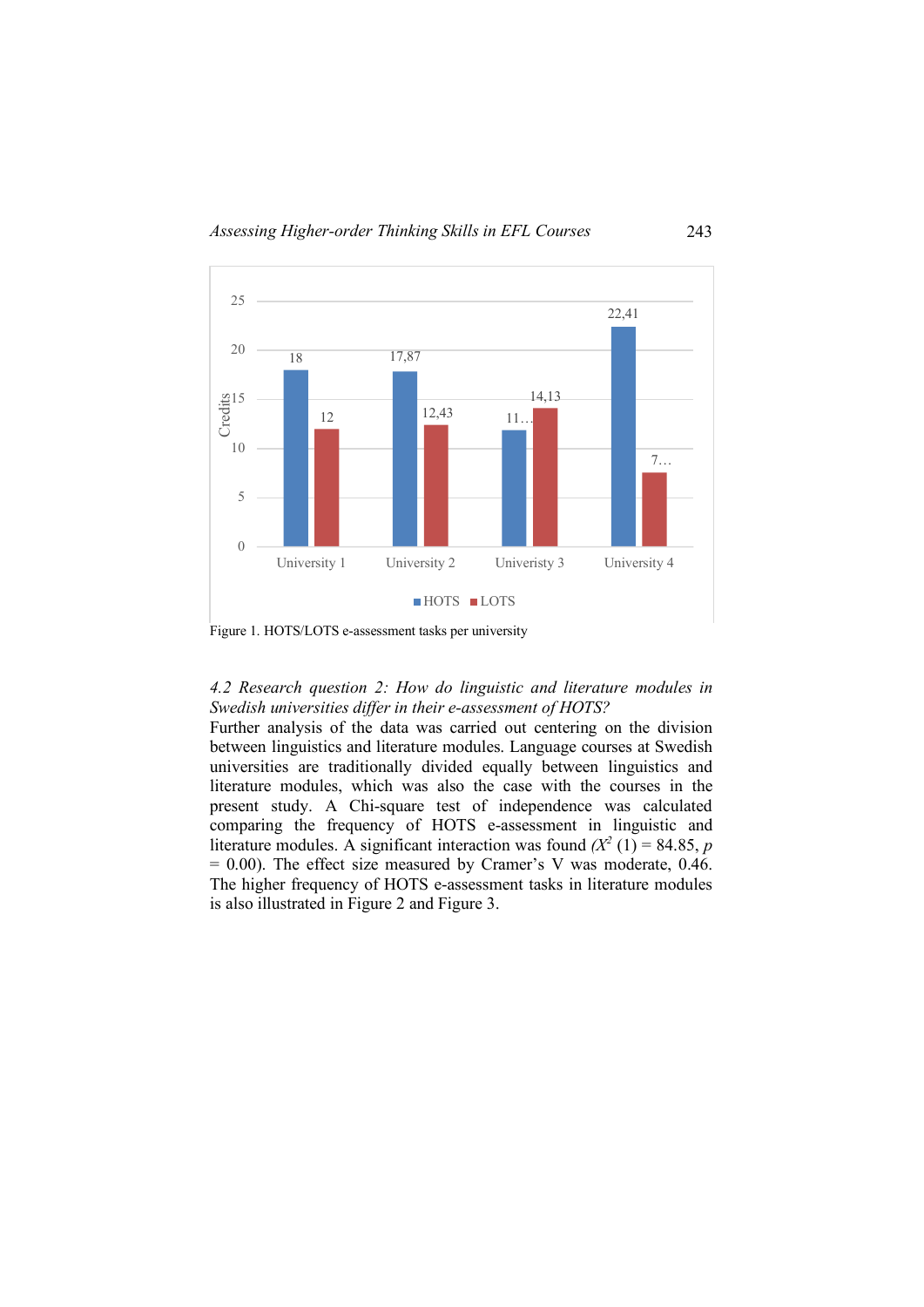

Figure 1. HOTS/LOTS e-assessment tasks per university

# *4.2 Research question 2: How do linguistic and literature modules in Swedish universities differ in their e-assessment of HOTS?*

Further analysis of the data was carried out centering on the division between linguistics and literature modules. Language courses at Swedish universities are traditionally divided equally between linguistics and literature modules, which was also the case with the courses in the present study. A Chi-square test of independence was calculated comparing the frequency of HOTS e-assessment in linguistic and literature modules. A significant interaction was found  $(X^2(1) = 84.85, p$  $= 0.00$ ). The effect size measured by Cramer's V was moderate, 0.46. The higher frequency of HOTS e-assessment tasks in literature modules is also illustrated in Figure 2 and Figure 3.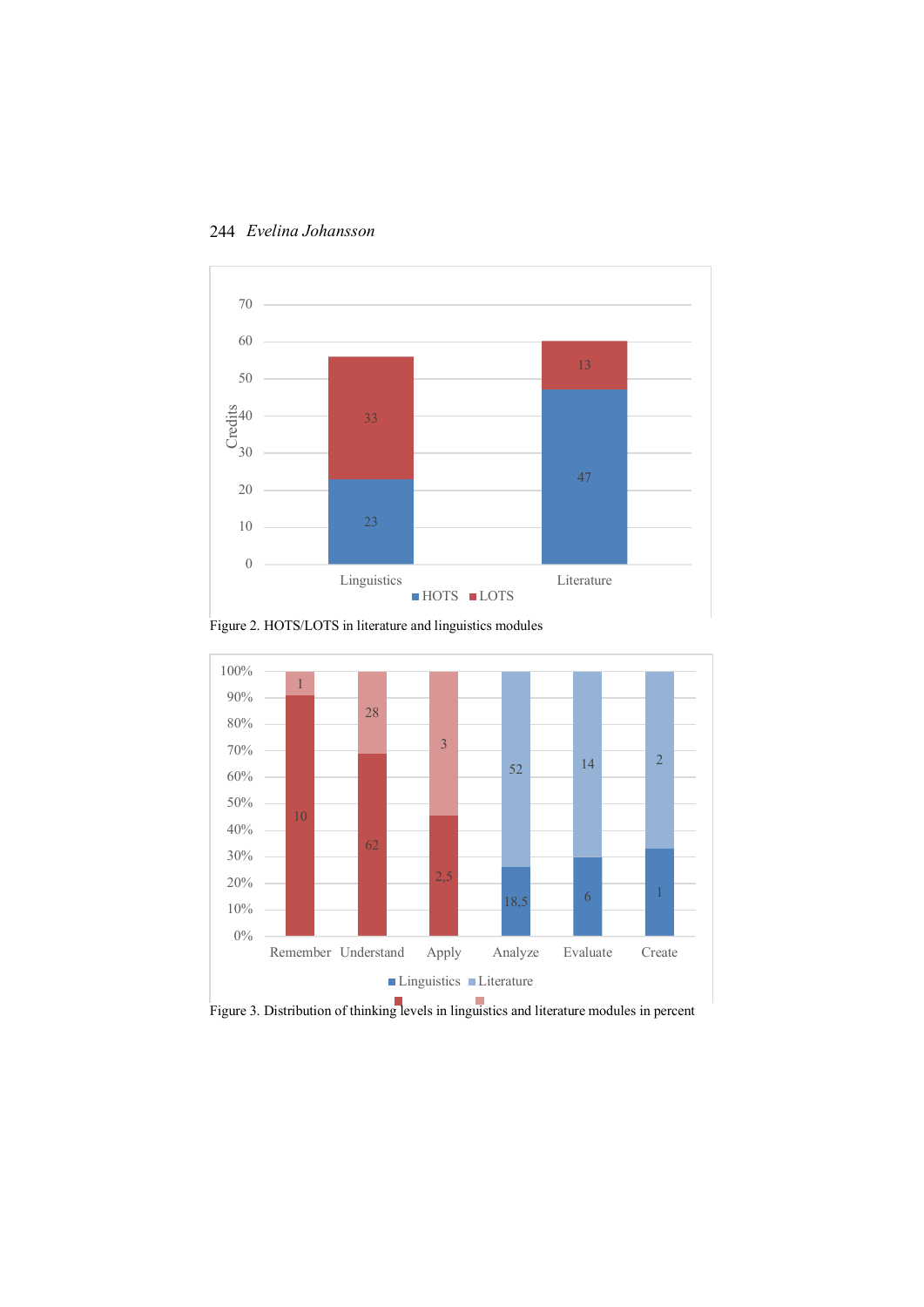

Figure 2. HOTS/LOTS in literature and linguistics modules



Figure 3. Distribution of thinking levels in linguistics and literature modules in percent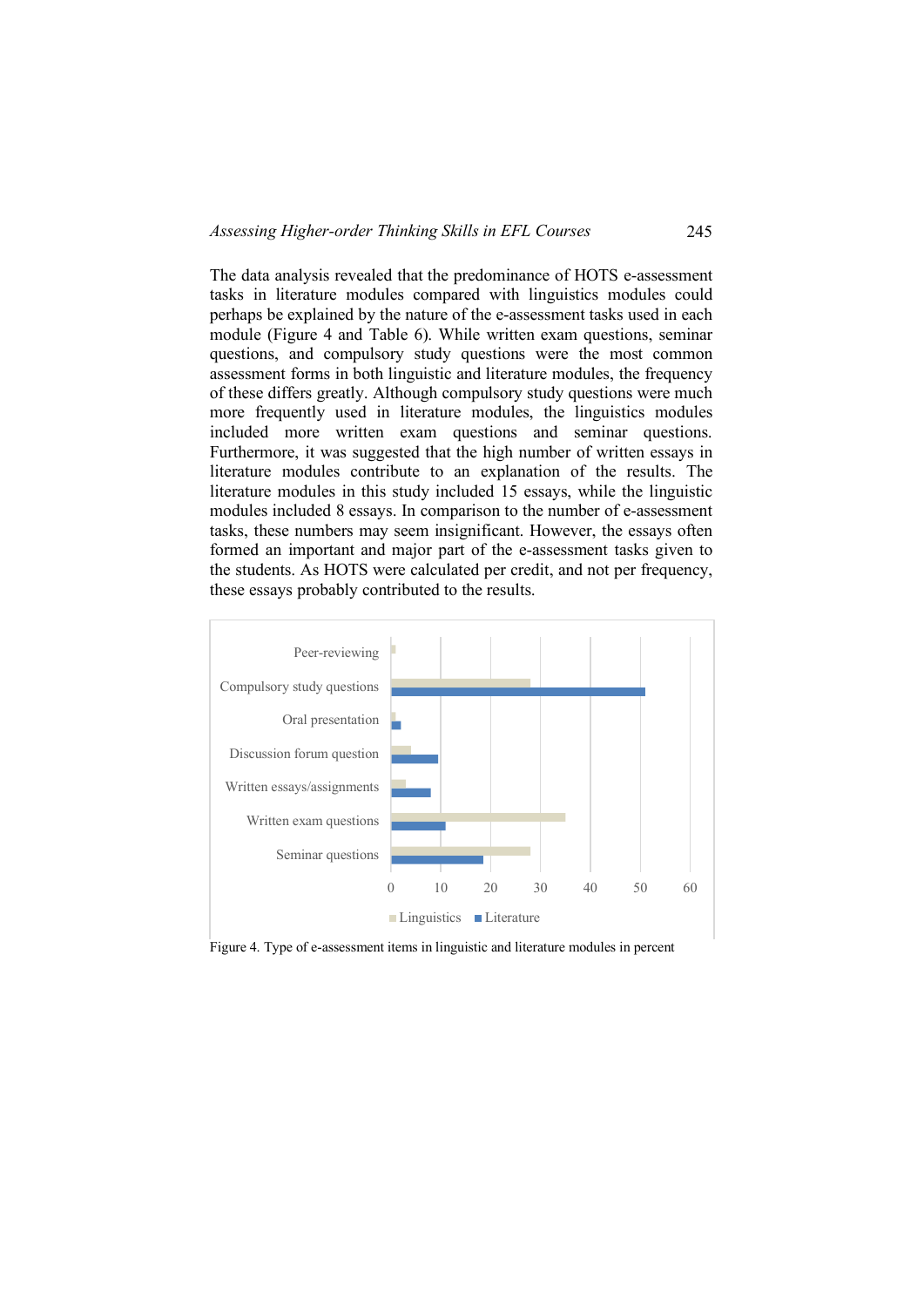The data analysis revealed that the predominance of HOTS e-assessment tasks in literature modules compared with linguistics modules could perhaps be explained by the nature of the e-assessment tasks used in each module (Figure 4 and Table 6). While written exam questions, seminar questions, and compulsory study questions were the most common assessment forms in both linguistic and literature modules, the frequency of these differs greatly. Although compulsory study questions were much more frequently used in literature modules, the linguistics modules included more written exam questions and seminar questions. Furthermore, it was suggested that the high number of written essays in literature modules contribute to an explanation of the results. The literature modules in this study included 15 essays, while the linguistic modules included 8 essays. In comparison to the number of e-assessment tasks, these numbers may seem insignificant. However, the essays often formed an important and major part of the e-assessment tasks given to the students. As HOTS were calculated per credit, and not per frequency, these essays probably contributed to the results.



Figure 4. Type of e-assessment items in linguistic and literature modules in percent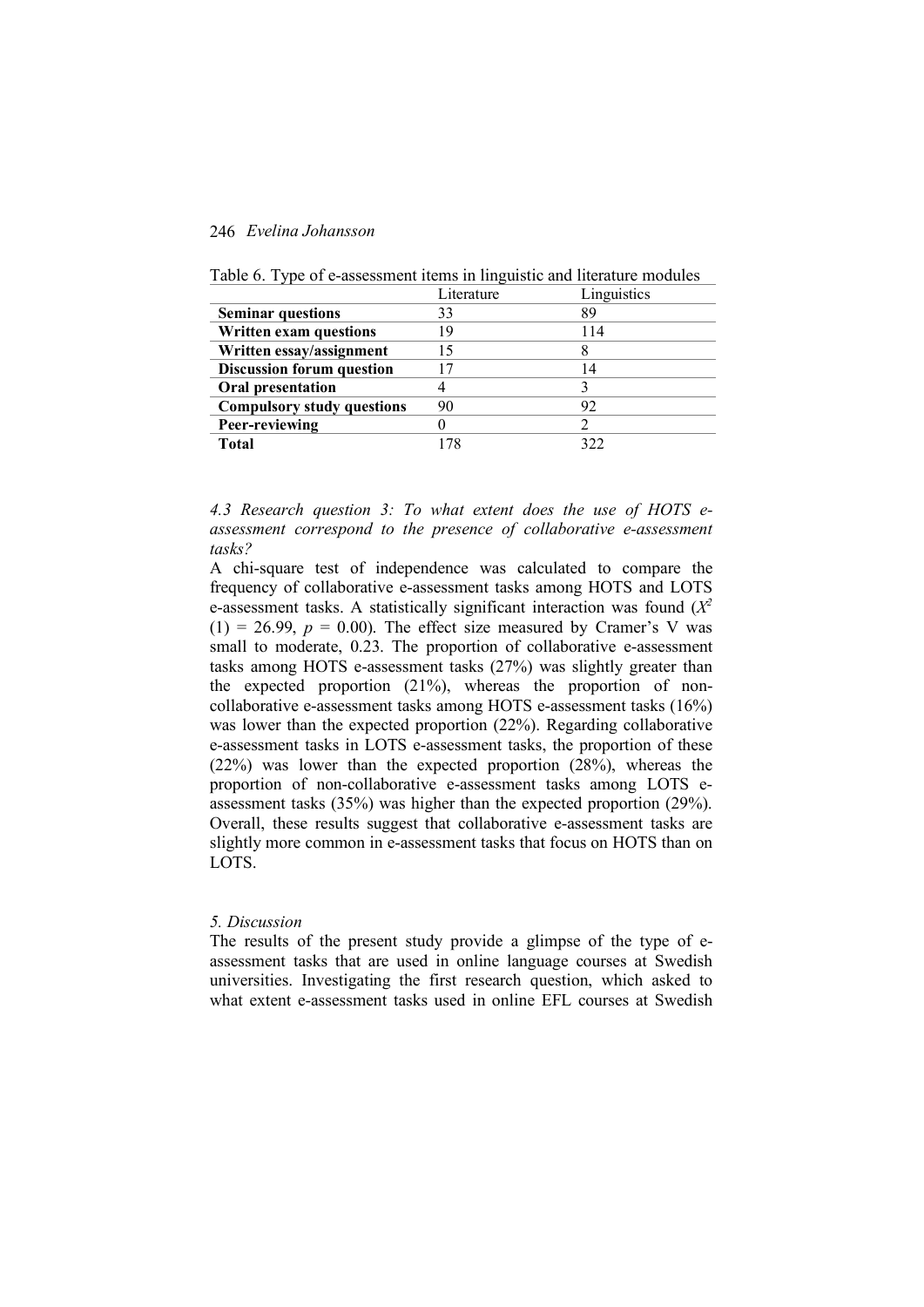|                                   | Literature | Linguistics    |
|-----------------------------------|------------|----------------|
| <b>Seminar questions</b>          | 33         | 89             |
| Written exam questions            | 19         | 114            |
| Written essay/assignment          | 15         |                |
| <b>Discussion forum question</b>  |            | $\overline{4}$ |
| Oral presentation                 |            |                |
| <b>Compulsory study questions</b> | 90         | 92             |
| Peer-reviewing                    |            |                |
| Total                             |            | 377            |

Table 6. Type of e-assessment items in linguistic and literature modules

*4.3 Research question 3: To what extent does the use of HOTS eassessment correspond to the presence of collaborative e-assessment tasks?*

A chi-square test of independence was calculated to compare the frequency of collaborative e-assessment tasks among HOTS and LOTS e-assessment tasks. A statistically significant interaction was found  $(X^2)$  $(1) = 26.99$ ,  $p = 0.00$ ). The effect size measured by Cramer's V was small to moderate, 0.23. The proportion of collaborative e-assessment tasks among HOTS e-assessment tasks (27%) was slightly greater than the expected proportion (21%), whereas the proportion of noncollaborative e-assessment tasks among HOTS e-assessment tasks (16%) was lower than the expected proportion (22%). Regarding collaborative e-assessment tasks in LOTS e-assessment tasks, the proportion of these (22%) was lower than the expected proportion (28%), whereas the proportion of non-collaborative e-assessment tasks among LOTS eassessment tasks (35%) was higher than the expected proportion (29%). Overall, these results suggest that collaborative e-assessment tasks are slightly more common in e-assessment tasks that focus on HOTS than on LOTS.

#### *5. Discussion*

The results of the present study provide a glimpse of the type of eassessment tasks that are used in online language courses at Swedish universities. Investigating the first research question, which asked to what extent e-assessment tasks used in online EFL courses at Swedish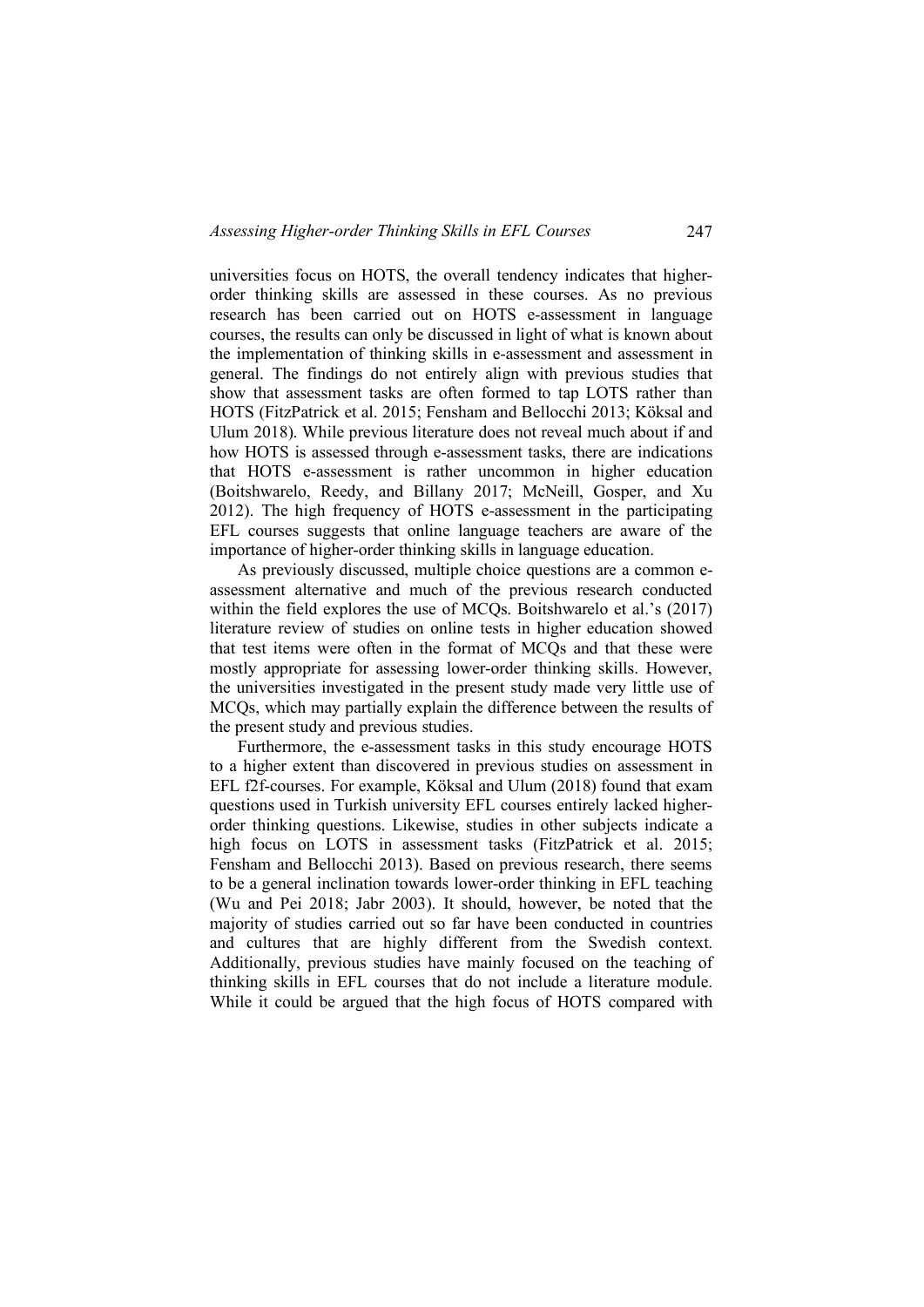universities focus on HOTS, the overall tendency indicates that higherorder thinking skills are assessed in these courses. As no previous research has been carried out on HOTS e-assessment in language courses, the results can only be discussed in light of what is known about the implementation of thinking skills in e-assessment and assessment in general. The findings do not entirely align with previous studies that show that assessment tasks are often formed to tap LOTS rather than HOTS (FitzPatrick et al. 2015; Fensham and Bellocchi 2013; Köksal and Ulum 2018). While previous literature does not reveal much about if and how HOTS is assessed through e-assessment tasks, there are indications that HOTS e-assessment is rather uncommon in higher education (Boitshwarelo, Reedy, and Billany 2017; McNeill, Gosper, and Xu 2012). The high frequency of HOTS e-assessment in the participating EFL courses suggests that online language teachers are aware of the importance of higher-order thinking skills in language education.

As previously discussed, multiple choice questions are a common eassessment alternative and much of the previous research conducted within the field explores the use of MCOs. Boitshwarelo et al.'s (2017) literature review of studies on online tests in higher education showed that test items were often in the format of MCQs and that these were mostly appropriate for assessing lower-order thinking skills. However, the universities investigated in the present study made very little use of MCQs, which may partially explain the difference between the results of the present study and previous studies.

Furthermore, the e-assessment tasks in this study encourage HOTS to a higher extent than discovered in previous studies on assessment in EFL f2f-courses. For example, Köksal and Ulum (2018) found that exam questions used in Turkish university EFL courses entirely lacked higherorder thinking questions. Likewise, studies in other subjects indicate a high focus on LOTS in assessment tasks (FitzPatrick et al. 2015; Fensham and Bellocchi 2013). Based on previous research, there seems to be a general inclination towards lower-order thinking in EFL teaching (Wu and Pei 2018; Jabr 2003). It should, however, be noted that the majority of studies carried out so far have been conducted in countries and cultures that are highly different from the Swedish context. Additionally, previous studies have mainly focused on the teaching of thinking skills in EFL courses that do not include a literature module. While it could be argued that the high focus of HOTS compared with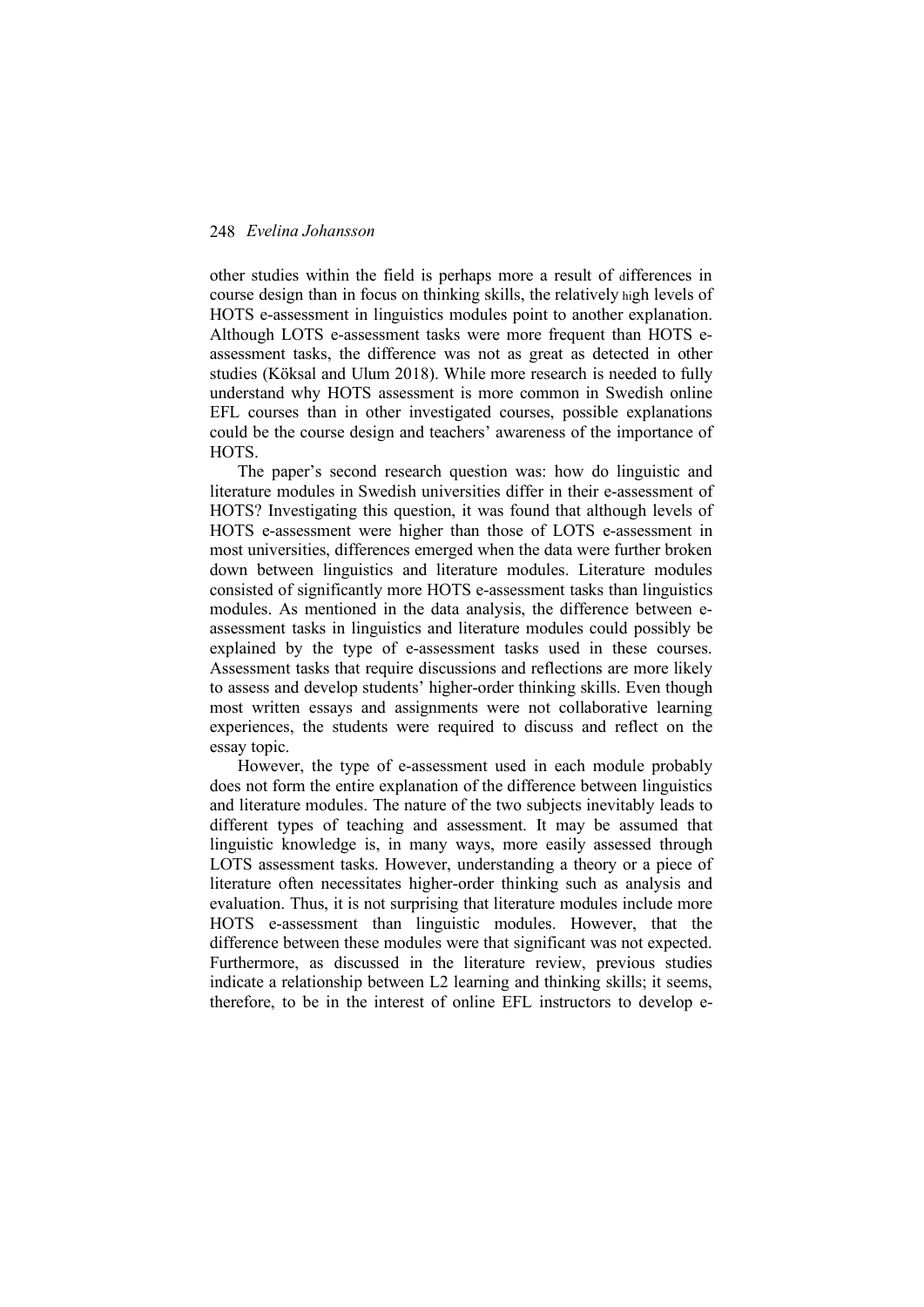other studies within the field is perhaps more a result of differences in course design than in focus on thinking skills, the relatively high levels of HOTS e-assessment in linguistics modules point to another explanation. Although LOTS e-assessment tasks were more frequent than HOTS eassessment tasks, the difference was not as great as detected in other studies (Köksal and Ulum 2018). While more research is needed to fully understand why HOTS assessment is more common in Swedish online EFL courses than in other investigated courses, possible explanations could be the course design and teachers' awareness of the importance of HOTS.

The paper's second research question was: how do linguistic and literature modules in Swedish universities differ in their e-assessment of HOTS? Investigating this question, it was found that although levels of HOTS e-assessment were higher than those of LOTS e-assessment in most universities, differences emerged when the data were further broken down between linguistics and literature modules. Literature modules consisted of significantly more HOTS e-assessment tasks than linguistics modules. As mentioned in the data analysis, the difference between eassessment tasks in linguistics and literature modules could possibly be explained by the type of e-assessment tasks used in these courses. Assessment tasks that require discussions and reflections are more likely to assess and develop students' higher-order thinking skills. Even though most written essays and assignments were not collaborative learning experiences, the students were required to discuss and reflect on the essay topic.

However, the type of e-assessment used in each module probably does not form the entire explanation of the difference between linguistics and literature modules. The nature of the two subjects inevitably leads to different types of teaching and assessment. It may be assumed that linguistic knowledge is, in many ways, more easily assessed through LOTS assessment tasks. However, understanding a theory or a piece of literature often necessitates higher-order thinking such as analysis and evaluation. Thus, it is not surprising that literature modules include more HOTS e-assessment than linguistic modules. However, that the difference between these modules were that significant was not expected. Furthermore, as discussed in the literature review, previous studies indicate a relationship between L2 learning and thinking skills; it seems, therefore, to be in the interest of online EFL instructors to develop e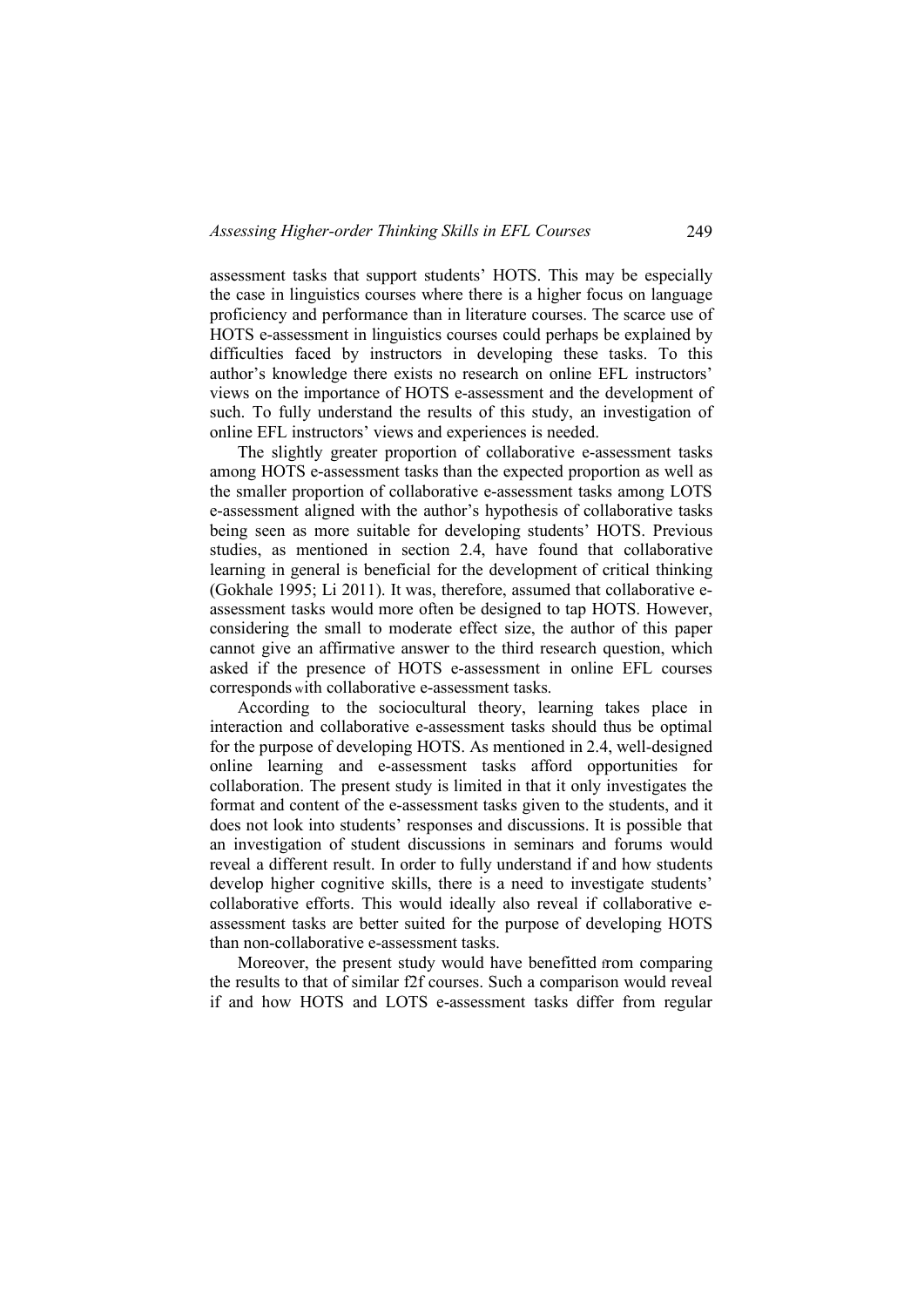assessment tasks that support students' HOTS. This may be especially the case in linguistics courses where there is a higher focus on language proficiency and performance than in literature courses. The scarce use of HOTS e-assessment in linguistics courses could perhaps be explained by difficulties faced by instructors in developing these tasks. To this author's knowledge there exists no research on online EFL instructors' views on the importance of HOTS e-assessment and the development of such. To fully understand the results of this study, an investigation of online EFL instructors' views and experiences is needed.

The slightly greater proportion of collaborative e-assessment tasks among HOTS e-assessment tasks than the expected proportion as well as the smaller proportion of collaborative e-assessment tasks among LOTS e-assessment aligned with the author's hypothesis of collaborative tasks being seen as more suitable for developing students' HOTS. Previous studies, as mentioned in section 2.4, have found that collaborative learning in general is beneficial for the development of critical thinking (Gokhale 1995; Li 2011). It was, therefore, assumed that collaborative eassessment tasks would more often be designed to tap HOTS. However, considering the small to moderate effect size, the author of this paper cannot give an affirmative answer to the third research question, which asked if the presence of HOTS e-assessment in online EFL courses corresponds with collaborative e-assessment tasks.

According to the sociocultural theory, learning takes place in interaction and collaborative e-assessment tasks should thus be optimal for the purpose of developing HOTS. As mentioned in 2.4, well-designed online learning and e-assessment tasks afford opportunities for collaboration. The present study is limited in that it only investigates the format and content of the e-assessment tasks given to the students, and it does not look into students' responses and discussions. It is possible that an investigation of student discussions in seminars and forums would reveal a different result. In order to fully understand if and how students develop higher cognitive skills, there is a need to investigate students' collaborative efforts. This would ideally also reveal if collaborative eassessment tasks are better suited for the purpose of developing HOTS than non-collaborative e-assessment tasks.

Moreover, the present study would have benefitted from comparing the results to that of similar f2f courses. Such a comparison would reveal if and how HOTS and LOTS e-assessment tasks differ from regular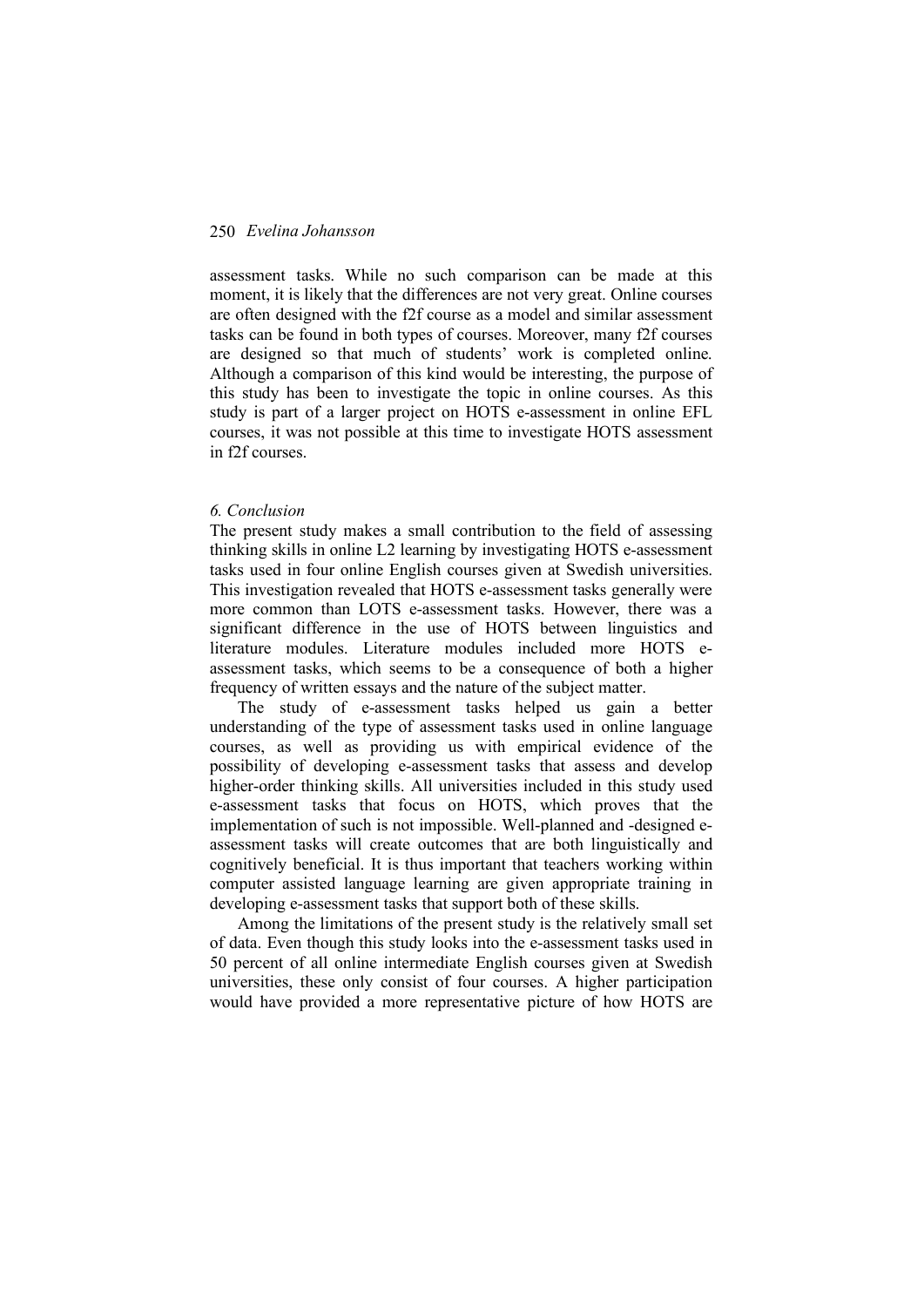assessment tasks. While no such comparison can be made at this moment, it is likely that the differences are not very great. Online courses are often designed with the f2f course as a model and similar assessment tasks can be found in both types of courses. Moreover, many f2f courses are designed so that much of students' work is completed online. Although a comparison of this kind would be interesting, the purpose of this study has been to investigate the topic in online courses. As this study is part of a larger project on HOTS e-assessment in online EFL courses, it was not possible at this time to investigate HOTS assessment in f2f courses.

#### *6. Conclusion*

The present study makes a small contribution to the field of assessing thinking skills in online L2 learning by investigating HOTS e-assessment tasks used in four online English courses given at Swedish universities. This investigation revealed that HOTS e-assessment tasks generally were more common than LOTS e-assessment tasks. However, there was a significant difference in the use of HOTS between linguistics and literature modules. Literature modules included more HOTS eassessment tasks, which seems to be a consequence of both a higher frequency of written essays and the nature of the subject matter.

The study of e-assessment tasks helped us gain a better understanding of the type of assessment tasks used in online language courses, as well as providing us with empirical evidence of the possibility of developing e-assessment tasks that assess and develop higher-order thinking skills. All universities included in this study used e-assessment tasks that focus on HOTS, which proves that the implementation of such is not impossible. Well-planned and -designed eassessment tasks will create outcomes that are both linguistically and cognitively beneficial. It is thus important that teachers working within computer assisted language learning are given appropriate training in developing e-assessment tasks that support both of these skills.

Among the limitations of the present study is the relatively small set of data. Even though this study looks into the e-assessment tasks used in 50 percent of all online intermediate English courses given at Swedish universities, these only consist of four courses. A higher participation would have provided a more representative picture of how HOTS are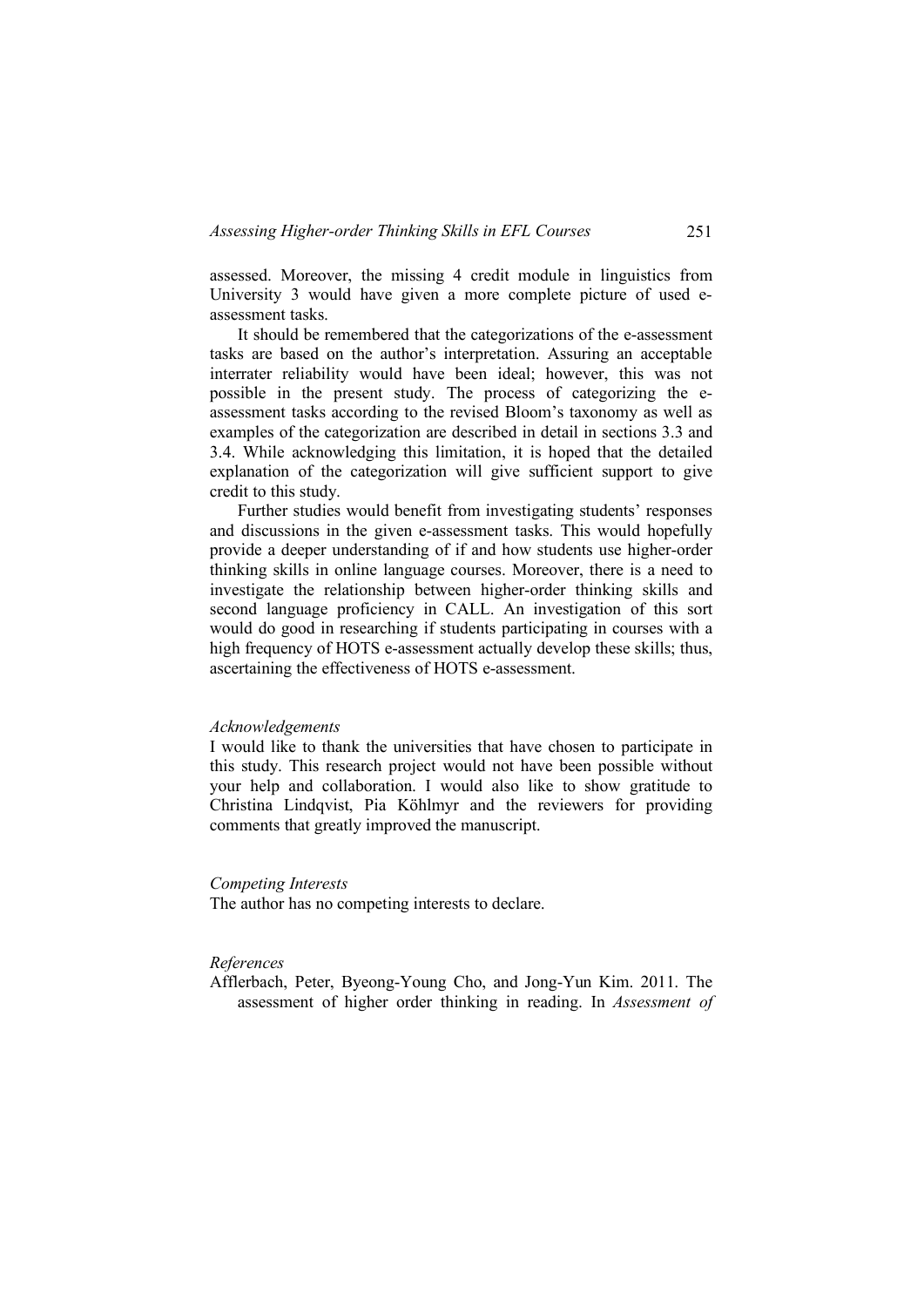assessed. Moreover, the missing 4 credit module in linguistics from University 3 would have given a more complete picture of used eassessment tasks.

It should be remembered that the categorizations of the e-assessment tasks are based on the author's interpretation. Assuring an acceptable interrater reliability would have been ideal; however, this was not possible in the present study. The process of categorizing the eassessment tasks according to the revised Bloom's taxonomy as well as examples of the categorization are described in detail in sections 3.3 and 3.4. While acknowledging this limitation, it is hoped that the detailed explanation of the categorization will give sufficient support to give credit to this study.

Further studies would benefit from investigating students' responses and discussions in the given e-assessment tasks. This would hopefully provide a deeper understanding of if and how students use higher-order thinking skills in online language courses. Moreover, there is a need to investigate the relationship between higher-order thinking skills and second language proficiency in CALL. An investigation of this sort would do good in researching if students participating in courses with a high frequency of HOTS e-assessment actually develop these skills; thus, ascertaining the effectiveness of HOTS e-assessment.

#### *Acknowledgements*

I would like to thank the universities that have chosen to participate in this study. This research project would not have been possible without your help and collaboration. I would also like to show gratitude to Christina Lindqvist, Pia Köhlmyr and the reviewers for providing comments that greatly improved the manuscript.

#### *Competing Interests*

The author has no competing interests to declare.

### *References*

Afflerbach, Peter, Byeong-Young Cho, and Jong-Yun Kim. 2011. The assessment of higher order thinking in reading. In *Assessment of*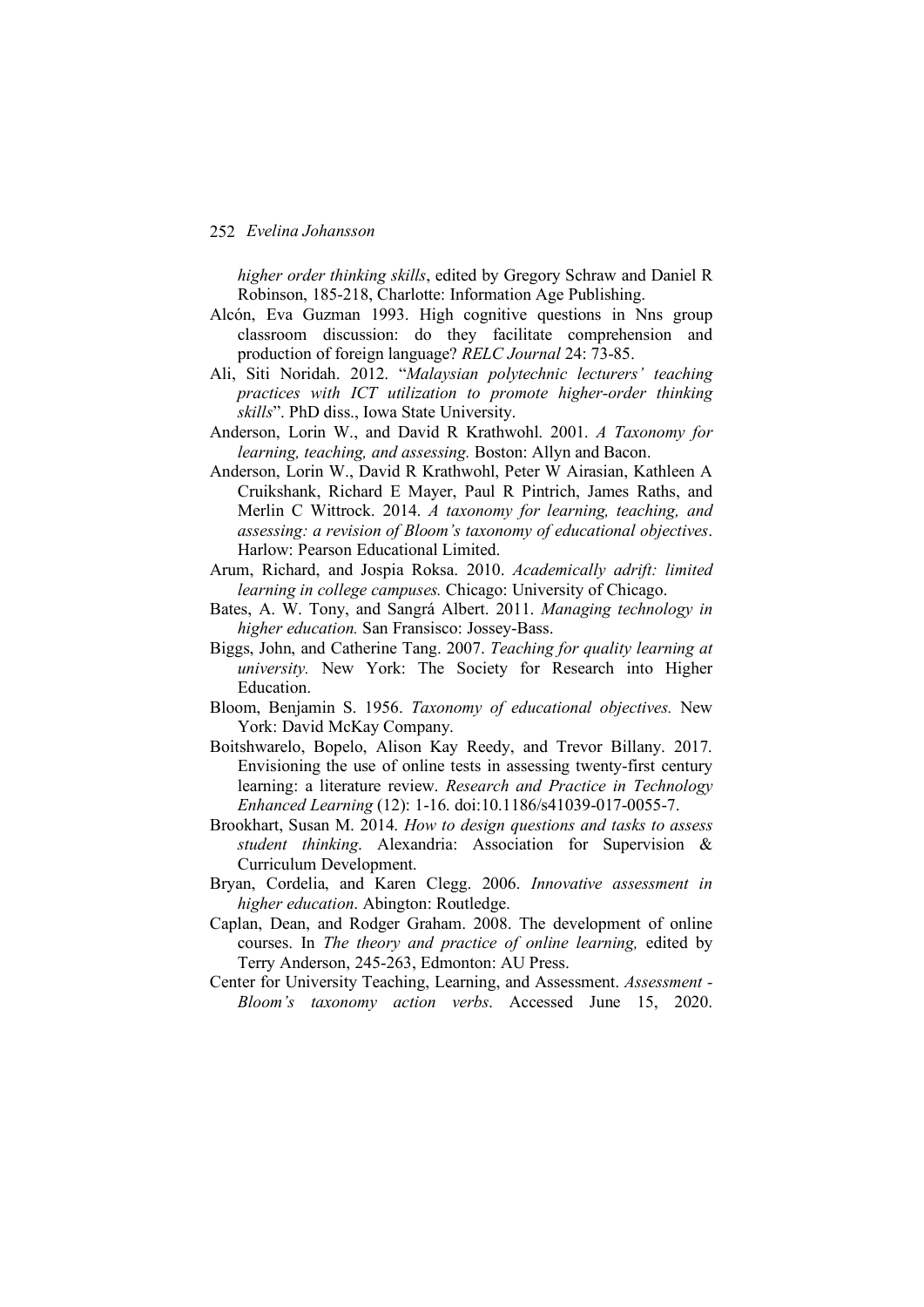*higher order thinking skills*, edited by Gregory Schraw and Daniel R Robinson, 185-218, Charlotte: Information Age Publishing.

- Alcón, Eva Guzman 1993. High cognitive questions in Nns group classroom discussion: do they facilitate comprehension and production of foreign language? *RELC Journal* 24: 73-85.
- Ali, Siti Noridah. 2012. "*Malaysian polytechnic lecturers' teaching practices with ICT utilization to promote higher-order thinking skills*". PhD diss., Iowa State University.
- Anderson, Lorin W., and David R Krathwohl. 2001. *A Taxonomy for learning, teaching, and assessing.* Boston: Allyn and Bacon.
- Anderson, Lorin W., David R Krathwohl, Peter W Airasian, Kathleen A Cruikshank, Richard E Mayer, Paul R Pintrich, James Raths, and Merlin C Wittrock. 2014. *A taxonomy for learning, teaching, and assessing: a revision of Bloom's taxonomy of educational objectives*. Harlow: Pearson Educational Limited.
- Arum, Richard, and Jospia Roksa. 2010. *Academically adrift: limited learning in college campuses.* Chicago: University of Chicago.
- Bates, A. W. Tony, and Sangrá Albert. 2011. *Managing technology in higher education.* San Fransisco: Jossey-Bass.
- Biggs, John, and Catherine Tang. 2007. *Teaching for quality learning at university.* New York: The Society for Research into Higher Education.
- Bloom, Benjamin S. 1956. *Taxonomy of educational objectives.* New York: David McKay Company.
- Boitshwarelo, Bopelo, Alison Kay Reedy, and Trevor Billany. 2017. Envisioning the use of online tests in assessing twenty-first century learning: a literature review. *Research and Practice in Technology Enhanced Learning* (12): 1-16. doi:10.1186/s41039-017-0055-7.
- Brookhart, Susan M. 2014. *How to design questions and tasks to assess student thinking*. Alexandria: Association for Supervision & Curriculum Development.
- Bryan, Cordelia, and Karen Clegg. 2006. *Innovative assessment in higher education*. Abington: Routledge.
- Caplan, Dean, and Rodger Graham. 2008. The development of online courses. In *The theory and practice of online learning,* edited by Terry Anderson, 245-263, Edmonton: AU Press.
- Center for University Teaching, Learning, and Assessment. *Assessment - Bloom's taxonomy action verbs*. Accessed June 15, 2020.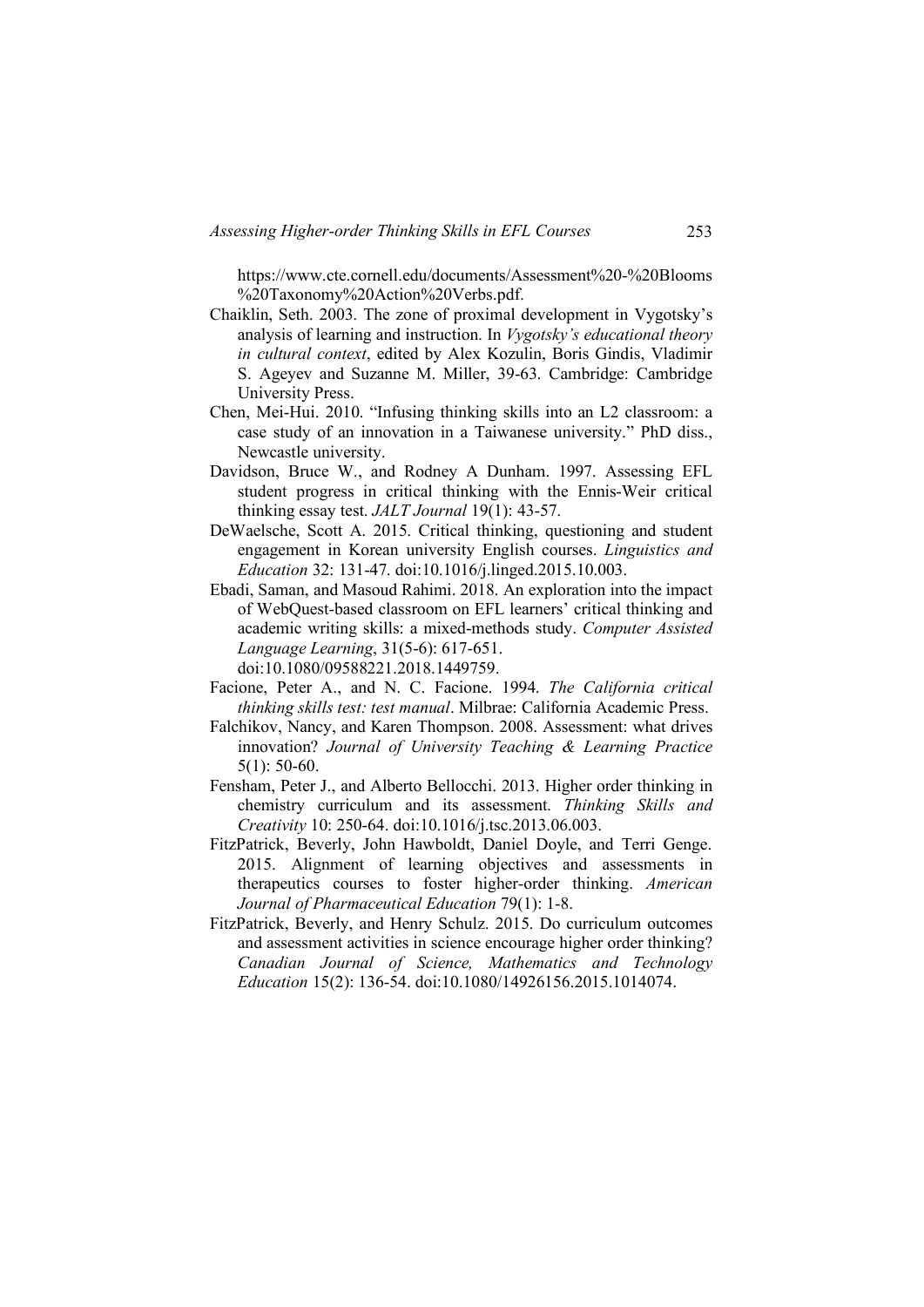https://www.cte.cornell.edu/documents/Assessment%20-%20Blooms %20Taxonomy%20Action%20Verbs.pdf.

- Chaiklin, Seth. 2003. The zone of proximal development in Vygotsky's analysis of learning and instruction. In *Vygotsky's educational theory in cultural context*, edited by Alex Kozulin, Boris Gindis, Vladimir S. Ageyev and Suzanne M. Miller, 39-63. Cambridge: Cambridge University Press.
- Chen, Mei-Hui. 2010. "Infusing thinking skills into an L2 classroom: a case study of an innovation in a Taiwanese university." PhD diss., Newcastle university.
- Davidson, Bruce W., and Rodney A Dunham. 1997. Assessing EFL student progress in critical thinking with the Ennis-Weir critical thinking essay test. *JALT Journal* 19(1): 43-57.
- DeWaelsche, Scott A. 2015. Critical thinking, questioning and student engagement in Korean university English courses. *Linguistics and Education* 32: 131-47. doi:10.1016/j.linged.2015.10.003.
- Ebadi, Saman, and Masoud Rahimi. 2018. An exploration into the impact of WebQuest-based classroom on EFL learners' critical thinking and academic writing skills: a mixed-methods study. *Computer Assisted Language Learning*, 31(5-6): 617-651. doi:10.1080/09588221.2018.1449759.
- Facione, Peter A., and N. C. Facione. 1994. *The California critical thinking skills test: test manual*. Milbrae: California Academic Press.
- Falchikov, Nancy, and Karen Thompson. 2008. Assessment: what drives innovation? *Journal of University Teaching & Learning Practice* 5(1): 50-60.
- Fensham, Peter J., and Alberto Bellocchi. 2013. Higher order thinking in chemistry curriculum and its assessment. *Thinking Skills and Creativity* 10: 250-64. doi:10.1016/j.tsc.2013.06.003.
- FitzPatrick, Beverly, John Hawboldt, Daniel Doyle, and Terri Genge. 2015. Alignment of learning objectives and assessments in therapeutics courses to foster higher-order thinking. *American Journal of Pharmaceutical Education* 79(1): 1-8.
- FitzPatrick, Beverly, and Henry Schulz. 2015. Do curriculum outcomes and assessment activities in science encourage higher order thinking? *Canadian Journal of Science, Mathematics and Technology Education* 15(2): 136-54. doi:10.1080/14926156.2015.1014074.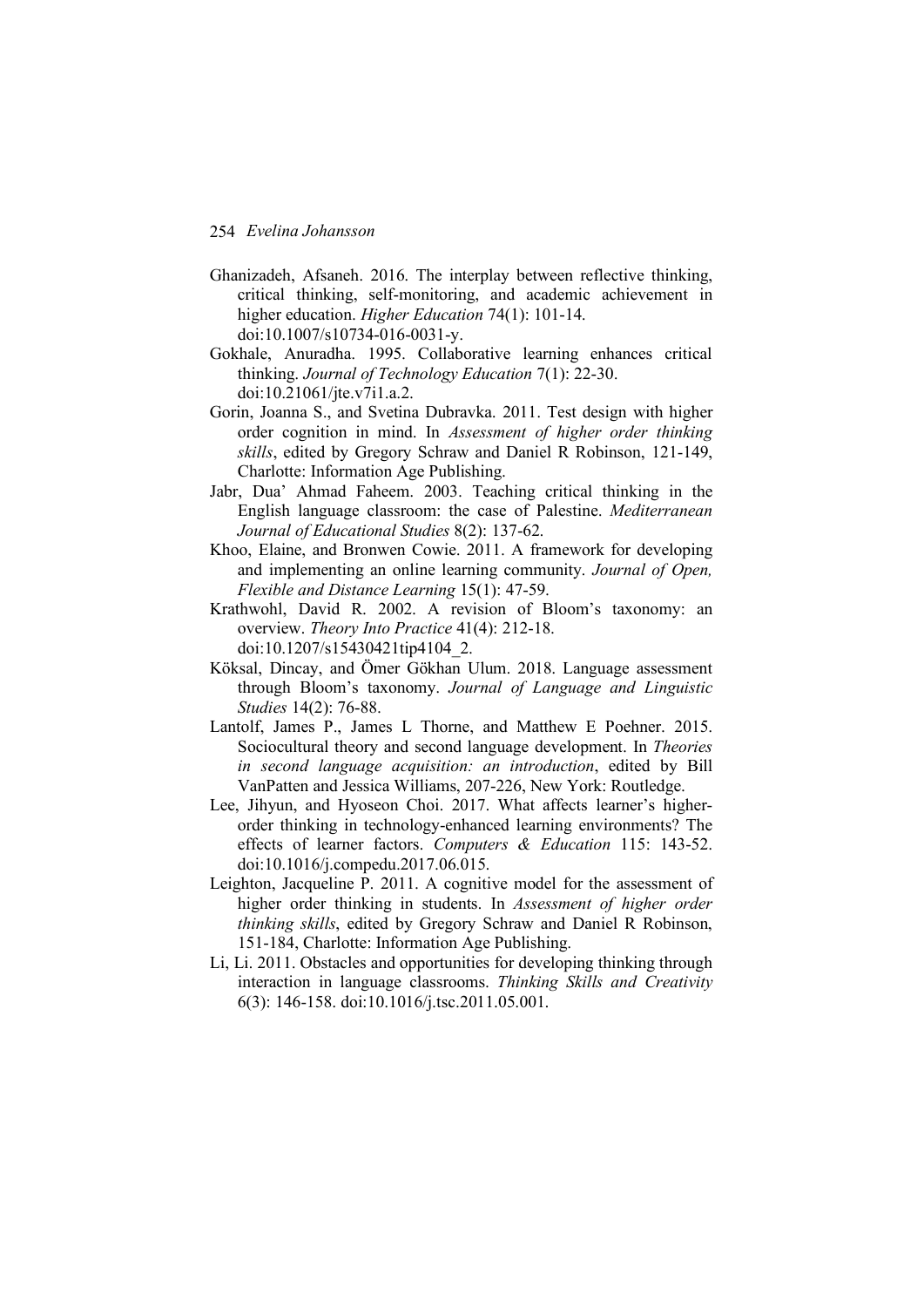- Ghanizadeh, Afsaneh. 2016. The interplay between reflective thinking, critical thinking, self-monitoring, and academic achievement in higher education. *Higher Education* 74(1): 101-14. doi:10.1007/s10734-016-0031-y.
- Gokhale, Anuradha. 1995. Collaborative learning enhances critical thinking. *Journal of Technology Education* 7(1): 22-30. doi:10.21061/jte.v7i1.a.2.
- Gorin, Joanna S., and Svetina Dubravka. 2011. Test design with higher order cognition in mind. In *Assessment of higher order thinking skills*, edited by Gregory Schraw and Daniel R Robinson, 121-149, Charlotte: Information Age Publishing.
- Jabr, Dua' Ahmad Faheem. 2003. Teaching critical thinking in the English language classroom: the case of Palestine. *Mediterranean Journal of Educational Studies* 8(2): 137-62.
- Khoo, Elaine, and Bronwen Cowie. 2011. A framework for developing and implementing an online learning community. *Journal of Open, Flexible and Distance Learning* 15(1): 47-59.
- Krathwohl, David R. 2002. A revision of Bloom's taxonomy: an overview. *Theory Into Practice* 41(4): 212-18. doi:10.1207/s15430421tip4104\_2.
- Köksal, Dincay, and Ömer Gökhan Ulum. 2018. Language assessment through Bloom's taxonomy. *Journal of Language and Linguistic Studies* 14(2): 76-88.
- Lantolf, James P., James L Thorne, and Matthew E Poehner. 2015. Sociocultural theory and second language development. In *Theories in second language acquisition: an introduction*, edited by Bill VanPatten and Jessica Williams, 207-226, New York: Routledge.
- Lee, Jihyun, and Hyoseon Choi. 2017. What affects learner's higherorder thinking in technology-enhanced learning environments? The effects of learner factors. *Computers & Education* 115: 143-52. doi:10.1016/j.compedu.2017.06.015.
- Leighton, Jacqueline P. 2011. A cognitive model for the assessment of higher order thinking in students. In *Assessment of higher order thinking skills*, edited by Gregory Schraw and Daniel R Robinson, 151-184, Charlotte: Information Age Publishing.
- Li, Li. 2011. Obstacles and opportunities for developing thinking through interaction in language classrooms. *Thinking Skills and Creativity* 6(3): 146-158. doi:10.1016/j.tsc.2011.05.001.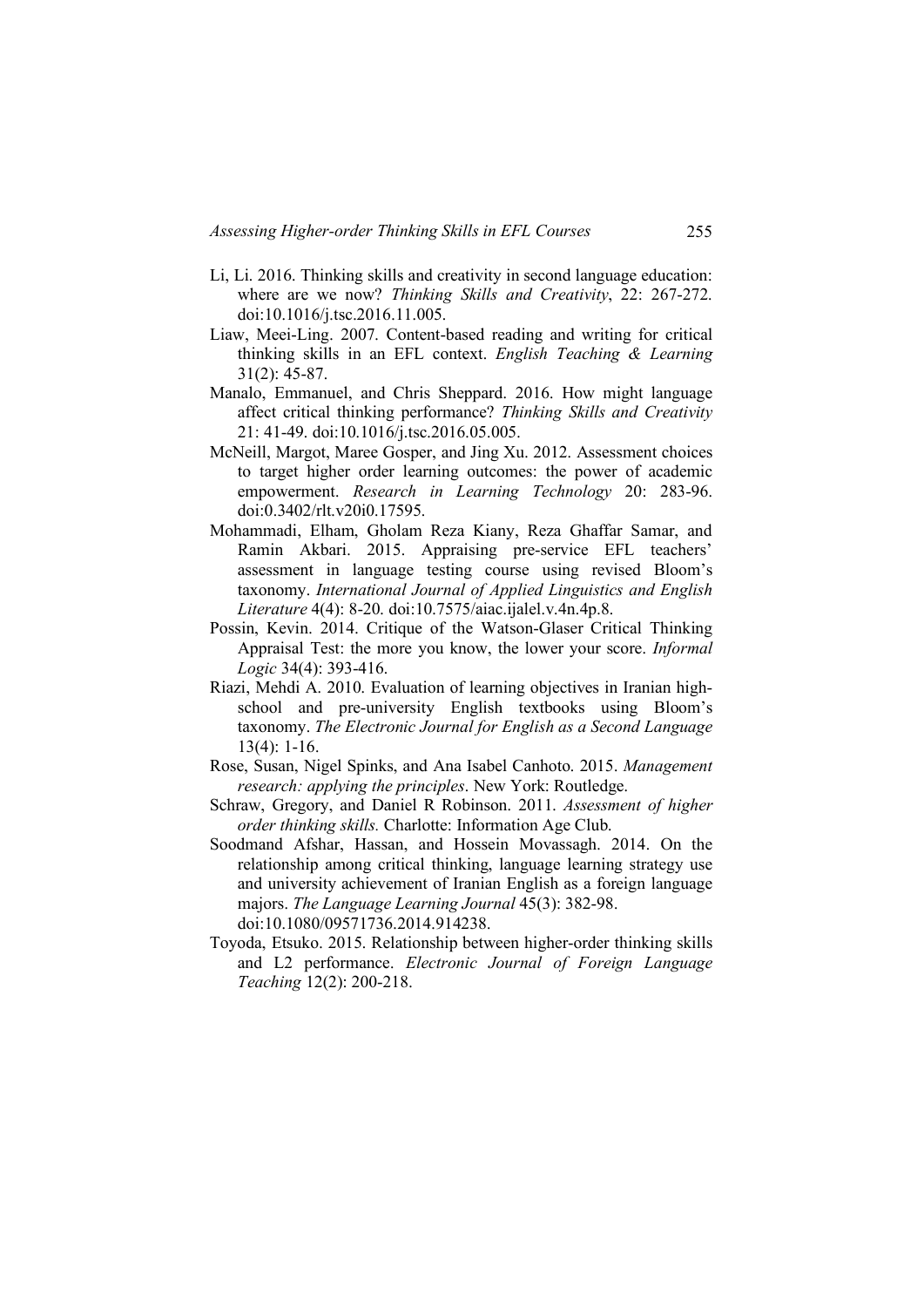- Li, Li. 2016. Thinking skills and creativity in second language education: where are we now? *Thinking Skills and Creativity*, 22: 267-272. doi:10.1016/j.tsc.2016.11.005.
- Liaw, Meei-Ling. 2007. Content-based reading and writing for critical thinking skills in an EFL context. *English Teaching & Learning* 31(2): 45-87.
- Manalo, Emmanuel, and Chris Sheppard. 2016. How might language affect critical thinking performance? *Thinking Skills and Creativity* 21: 41-49. doi:10.1016/j.tsc.2016.05.005.
- McNeill, Margot, Maree Gosper, and Jing Xu. 2012. Assessment choices to target higher order learning outcomes: the power of academic empowerment. *Research in Learning Technology* 20: 283-96. doi:0.3402/rlt.v20i0.17595.
- Mohammadi, Elham, Gholam Reza Kiany, Reza Ghaffar Samar, and Ramin Akbari. 2015. Appraising pre-service EFL teachers' assessment in language testing course using revised Bloom's taxonomy. *International Journal of Applied Linguistics and English Literature* 4(4): 8-20. doi:10.7575/aiac.ijalel.v.4n.4p.8.
- Possin, Kevin. 2014. Critique of the Watson-Glaser Critical Thinking Appraisal Test: the more you know, the lower your score. *Informal Logic* 34(4): 393-416.
- Riazi, Mehdi A. 2010. Evaluation of learning objectives in Iranian highschool and pre-university English textbooks using Bloom's taxonomy. *The Electronic Journal for English as a Second Language* 13(4): 1-16.
- Rose, Susan, Nigel Spinks, and Ana Isabel Canhoto. 2015. *Management research: applying the principles*. New York: Routledge.
- Schraw, Gregory, and Daniel R Robinson. 2011. *Assessment of higher order thinking skills.* Charlotte: Information Age Club.
- Soodmand Afshar, Hassan, and Hossein Movassagh. 2014. On the relationship among critical thinking, language learning strategy use and university achievement of Iranian English as a foreign language majors. *The Language Learning Journal* 45(3): 382-98. doi:10.1080/09571736.2014.914238.
- Toyoda, Etsuko. 2015. Relationship between higher-order thinking skills and L2 performance. *Electronic Journal of Foreign Language Teaching* 12(2): 200-218.